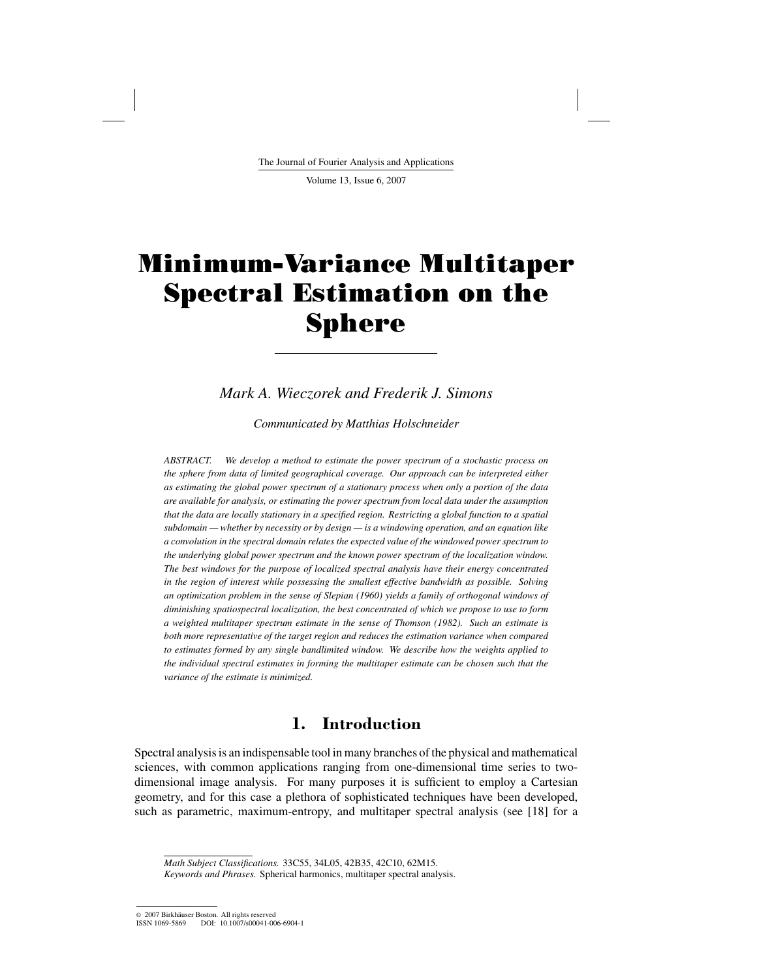The Journal of Fourier Analysis and Applications

Volume 13, Issue 6, 2007

# Minimum-Variance Multitaper Spectral Estimation on the Sphere

## *Mark A. Wieczorek and Frederik J. Simons*

*Communicated by Matthias Holschneider*

*ABSTRACT. We develop a method to estimate the power spectrum of a stochastic process on the sphere from data of limited geographical coverage. Our approach can be interpreted either as estimating the global power spectrum of a stationary process when only a portion of the data are available for analysis, or estimating the power spectrum from local data under the assumption that the data are locally stationary in a specified region. Restricting a global function to a spatial subdomain — whether by necessity or by design — is a windowing operation, and an equation like a convolution in the spectral domain relates the expected value of the windowed power spectrum to the underlying global power spectrum and the known power spectrum of the localization window. The best windows for the purpose of localized spectral analysis have their energy concentrated in the region of interest while possessing the smallest effective bandwidth as possible. Solving an optimization problem in the sense of Slepian (1960) yields a family of orthogonal windows of diminishing spatiospectral localization, the best concentrated of which we propose to use to form a weighted multitaper spectrum estimate in the sense of Thomson (1982). Such an estimate is both more representative of the target region and reduces the estimation variance when compared to estimates formed by any single bandlimited window. We describe how the weights applied to the individual spectral estimates in forming the multitaper estimate can be chosen such that the variance of the estimate is minimized.*

## **1. Introduction**

Spectral analysis is an indispensable tool in many branches of the physical and mathematical sciences, with common applications ranging from one-dimensional time series to twodimensional image analysis. For many purposes it is sufficient to employ a Cartesian geometry, and for this case a plethora of sophisticated techniques have been developed, such as parametric, maximum-entropy, and multitaper spectral analysis (see [18] for a

*Math Subject Classifications.* 33C55, 34L05, 42B35, 42C10, 62M15.

*Keywords and Phrases.* Spherical harmonics, multitaper spectral analysis.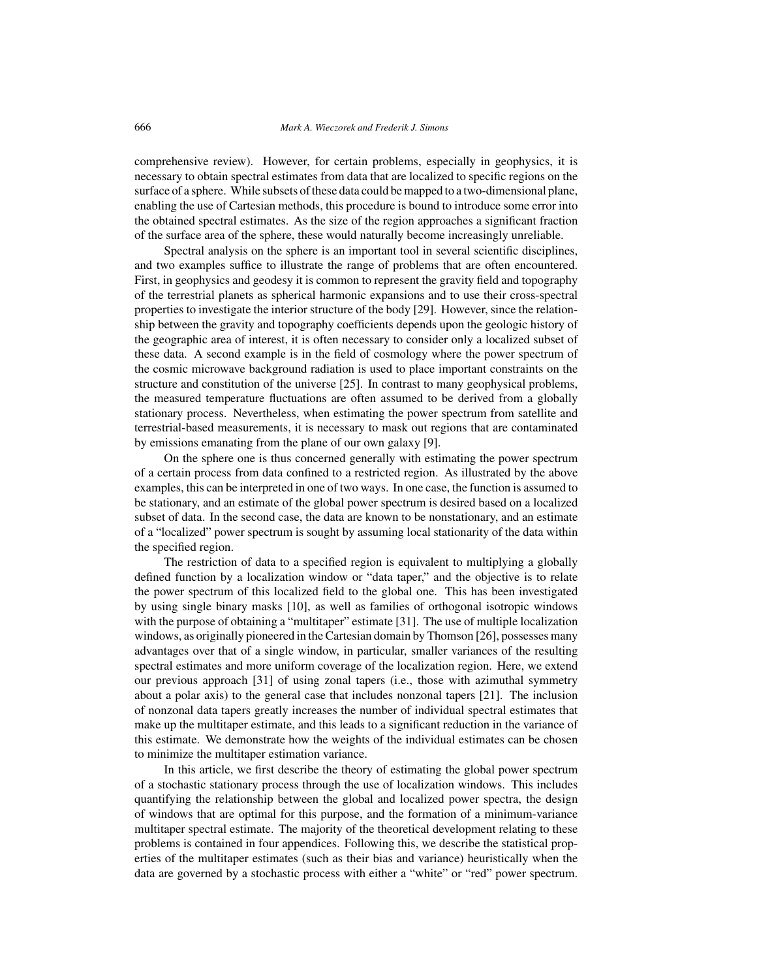comprehensive review). However, for certain problems, especially in geophysics, it is necessary to obtain spectral estimates from data that are localized to specific regions on the surface of a sphere. While subsets of these data could be mapped to a two-dimensional plane, enabling the use of Cartesian methods, this procedure is bound to introduce some error into the obtained spectral estimates. As the size of the region approaches a significant fraction of the surface area of the sphere, these would naturally become increasingly unreliable.

Spectral analysis on the sphere is an important tool in several scientific disciplines, and two examples suffice to illustrate the range of problems that are often encountered. First, in geophysics and geodesy it is common to represent the gravity field and topography of the terrestrial planets as spherical harmonic expansions and to use their cross-spectral properties to investigate the interior structure of the body [29]. However, since the relationship between the gravity and topography coefficients depends upon the geologic history of the geographic area of interest, it is often necessary to consider only a localized subset of these data. A second example is in the field of cosmology where the power spectrum of the cosmic microwave background radiation is used to place important constraints on the structure and constitution of the universe [25]. In contrast to many geophysical problems, the measured temperature fluctuations are often assumed to be derived from a globally stationary process. Nevertheless, when estimating the power spectrum from satellite and terrestrial-based measurements, it is necessary to mask out regions that are contaminated by emissions emanating from the plane of our own galaxy [9].

On the sphere one is thus concerned generally with estimating the power spectrum of a certain process from data confined to a restricted region. As illustrated by the above examples, this can be interpreted in one of two ways. In one case, the function is assumed to be stationary, and an estimate of the global power spectrum is desired based on a localized subset of data. In the second case, the data are known to be nonstationary, and an estimate of a "localized" power spectrum is sought by assuming local stationarity of the data within the specified region.

The restriction of data to a specified region is equivalent to multiplying a globally defined function by a localization window or "data taper," and the objective is to relate the power spectrum of this localized field to the global one. This has been investigated by using single binary masks [10], as well as families of orthogonal isotropic windows with the purpose of obtaining a "multitaper" estimate [31]. The use of multiple localization windows, as originally pioneered in the Cartesian domain by Thomson [26], possesses many advantages over that of a single window, in particular, smaller variances of the resulting spectral estimates and more uniform coverage of the localization region. Here, we extend our previous approach [31] of using zonal tapers (i.e., those with azimuthal symmetry about a polar axis) to the general case that includes nonzonal tapers [21]. The inclusion of nonzonal data tapers greatly increases the number of individual spectral estimates that make up the multitaper estimate, and this leads to a significant reduction in the variance of this estimate. We demonstrate how the weights of the individual estimates can be chosen to minimize the multitaper estimation variance.

In this article, we first describe the theory of estimating the global power spectrum of a stochastic stationary process through the use of localization windows. This includes quantifying the relationship between the global and localized power spectra, the design of windows that are optimal for this purpose, and the formation of a minimum-variance multitaper spectral estimate. The majority of the theoretical development relating to these problems is contained in four appendices. Following this, we describe the statistical properties of the multitaper estimates (such as their bias and variance) heuristically when the data are governed by a stochastic process with either a "white" or "red" power spectrum.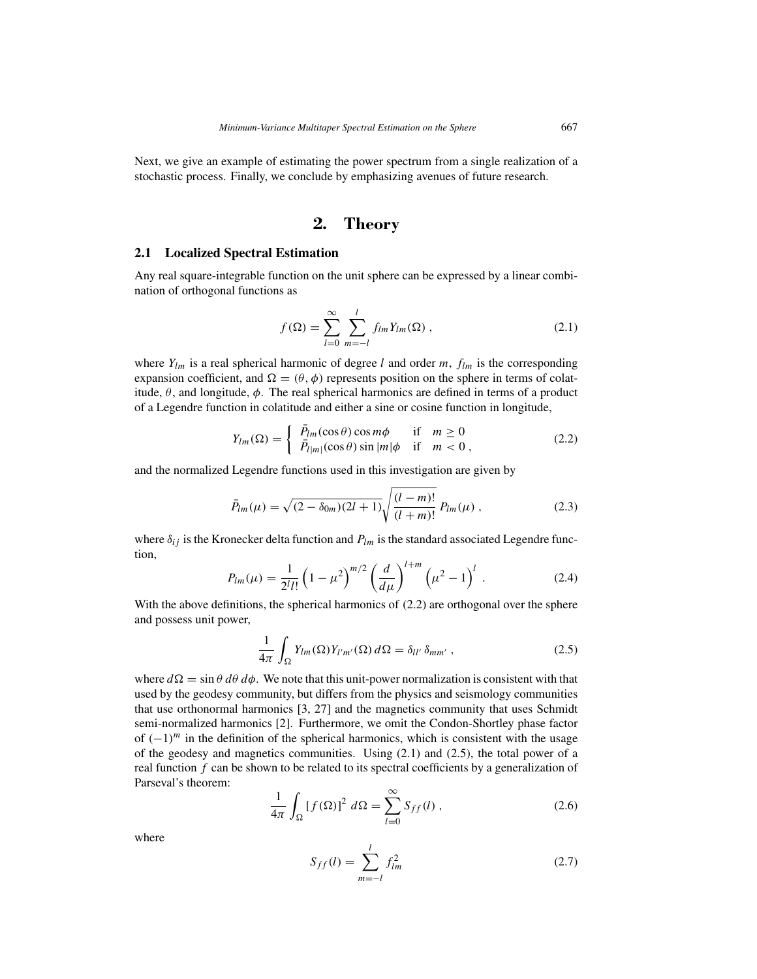Next, we give an example of estimating the power spectrum from a single realization of a stochastic process. Finally, we conclude by emphasizing avenues of future research.

# **2. Theory**

#### **2.1 Localized Spectral Estimation**

Any real square-integrable function on the unit sphere can be expressed by a linear combination of orthogonal functions as

$$
f(\Omega) = \sum_{l=0}^{\infty} \sum_{m=-l}^{l} f_{lm} Y_{lm}(\Omega) ,
$$
 (2.1)

where  $Y_{lm}$  is a real spherical harmonic of degree *l* and order *m*,  $f_{lm}$  is the corresponding expansion coefficient, and  $\Omega = (\theta, \phi)$  represents position on the sphere in terms of colatitude,  $\theta$ , and longitude,  $\phi$ . The real spherical harmonics are defined in terms of a product of a Legendre function in colatitude and either a sine or cosine function in longitude,

$$
Y_{lm}(\Omega) = \begin{cases} \bar{P}_{lm}(\cos \theta) \cos m\phi & \text{if } m \ge 0\\ \bar{P}_{l|m|}(\cos \theta) \sin |m|\phi & \text{if } m < 0, \end{cases}
$$
 (2.2)

and the normalized Legendre functions used in this investigation are given by

$$
\bar{P}_{lm}(\mu) = \sqrt{(2 - \delta_{0m})(2l + 1)} \sqrt{\frac{(l - m)!}{(l + m)!}} P_{lm}(\mu) , \qquad (2.3)
$$

where  $\delta_{ij}$  is the Kronecker delta function and  $P_{lm}$  is the standard associated Legendre function,

$$
P_{lm}(\mu) = \frac{1}{2^l l!} \left(1 - \mu^2\right)^{m/2} \left(\frac{d}{d\mu}\right)^{l+m} \left(\mu^2 - 1\right)^l. \tag{2.4}
$$

With the above definitions, the spherical harmonics of  $(2.2)$  are orthogonal over the sphere and possess unit power,

$$
\frac{1}{4\pi} \int_{\Omega} Y_{lm}(\Omega) Y_{l'm'}(\Omega) d\Omega = \delta_{ll'} \delta_{mm'} , \qquad (2.5)
$$

where  $d\Omega = \sin\theta \, d\theta \, d\phi$ . We note that this unit-power normalization is consistent with that used by the geodesy community, but differs from the physics and seismology communities that use orthonormal harmonics [3, 27] and the magnetics community that uses Schmidt semi-normalized harmonics [2]. Furthermore, we omit the Condon-Shortley phase factor of *(*−1*)m* in the definition of the spherical harmonics, which is consistent with the usage of the geodesy and magnetics communities. Using (2.1) and (2.5), the total power of a real function *f* can be shown to be related to its spectral coefficients by a generalization of Parseval's theorem:

$$
\frac{1}{4\pi} \int_{\Omega} \left[ f(\Omega) \right]^2 d\Omega = \sum_{l=0}^{\infty} S_{ff}(l) , \qquad (2.6)
$$

where

$$
S_{ff}(l) = \sum_{m=-l}^{l} f_{lm}^{2}
$$
 (2.7)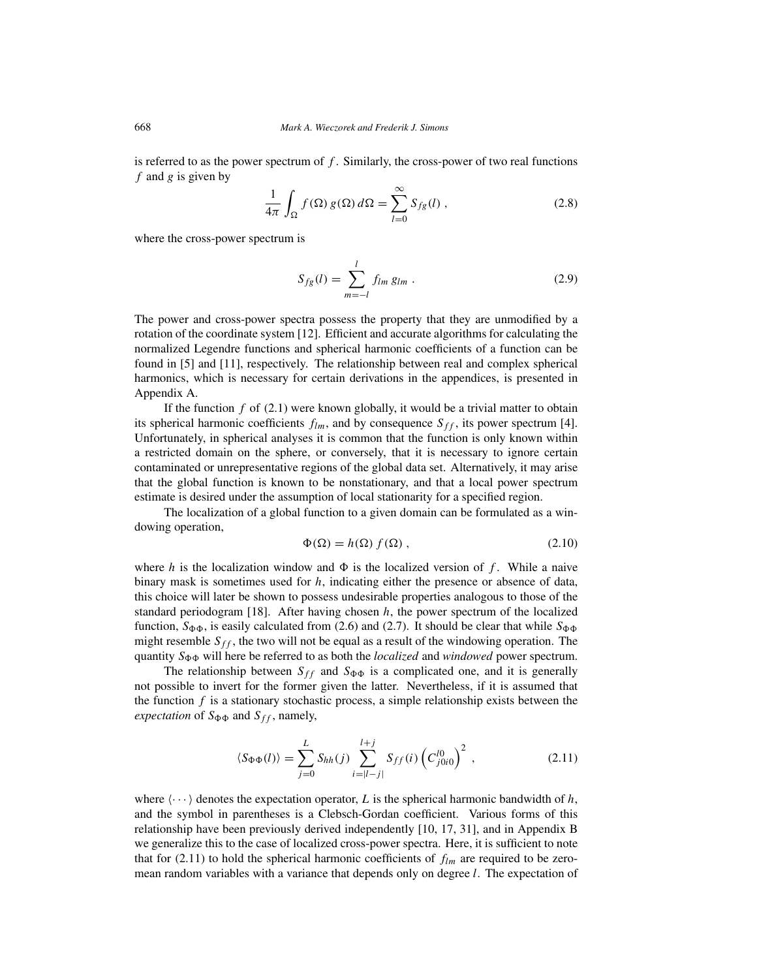is referred to as the power spectrum of *f* . Similarly, the cross-power of two real functions *f* and *g* is given by

$$
\frac{1}{4\pi} \int_{\Omega} f(\Omega) g(\Omega) d\Omega = \sum_{l=0}^{\infty} S_{fg}(l) ,
$$
 (2.8)

where the cross-power spectrum is

$$
S_{fg}(l) = \sum_{m=-l}^{l} f_{lm} g_{lm} . \qquad (2.9)
$$

The power and cross-power spectra possess the property that they are unmodified by a rotation of the coordinate system [12]. Efficient and accurate algorithms for calculating the normalized Legendre functions and spherical harmonic coefficients of a function can be found in [5] and [11], respectively. The relationship between real and complex spherical harmonics, which is necessary for certain derivations in the appendices, is presented in Appendix A.

If the function  $f$  of  $(2.1)$  were known globally, it would be a trivial matter to obtain its spherical harmonic coefficients  $f_{lm}$ , and by consequence  $S_{ff}$ , its power spectrum [4]. Unfortunately, in spherical analyses it is common that the function is only known within a restricted domain on the sphere, or conversely, that it is necessary to ignore certain contaminated or unrepresentative regions of the global data set. Alternatively, it may arise that the global function is known to be nonstationary, and that a local power spectrum estimate is desired under the assumption of local stationarity for a specified region.

The localization of a global function to a given domain can be formulated as a windowing operation,

$$
\Phi(\Omega) = h(\Omega) f(\Omega) , \qquad (2.10)
$$

where *h* is the localization window and  $\Phi$  is the localized version of *f*. While a naive binary mask is sometimes used for *h*, indicating either the presence or absence of data, this choice will later be shown to possess undesirable properties analogous to those of the standard periodogram [18]. After having chosen *h*, the power spectrum of the localized function,  $S_{\Phi\Phi}$ , is easily calculated from (2.6) and (2.7). It should be clear that while  $S_{\Phi\Phi}$ might resemble  $S_{ff}$ , the two will not be equal as a result of the windowing operation. The quantity  $S_{\Phi\Phi}$  will here be referred to as both the *localized* and *windowed* power spectrum.

The relationship between  $S_{ff}$  and  $S_{\Phi\Phi}$  is a complicated one, and it is generally not possible to invert for the former given the latter. Nevertheless, if it is assumed that the function *f* is a stationary stochastic process, a simple relationship exists between the *expectation* of  $S_{\Phi\Phi}$  and  $S_{ff}$ , namely,

$$
\langle S_{\Phi\Phi}(l)\rangle = \sum_{j=0}^{L} S_{hh}(j) \sum_{i=|l-j|}^{l+j} S_{ff}(i) \left(C_{j0i0}^{l0}\right)^2 , \qquad (2.11)
$$

where  $\langle \cdots \rangle$  denotes the expectation operator, *L* is the spherical harmonic bandwidth of *h*, and the symbol in parentheses is a Clebsch-Gordan coefficient. Various forms of this relationship have been previously derived independently [10, 17, 31], and in Appendix B we generalize this to the case of localized cross-power spectra. Here, it is sufficient to note that for  $(2.11)$  to hold the spherical harmonic coefficients of  $f_{lm}$  are required to be zeromean random variables with a variance that depends only on degree *l*. The expectation of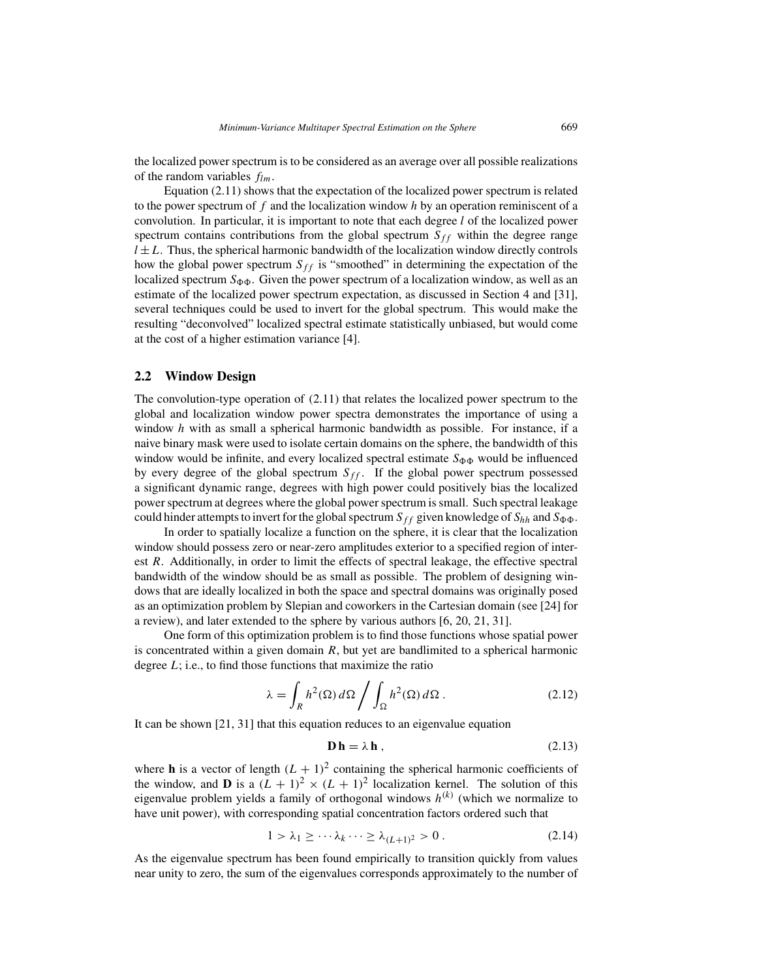the localized power spectrum is to be considered as an average over all possible realizations of the random variables *flm*.

Equation (2.11) shows that the expectation of the localized power spectrum is related to the power spectrum of *f* and the localization window *h* by an operation reminiscent of a convolution. In particular, it is important to note that each degree *l* of the localized power spectrum contains contributions from the global spectrum  $S_{ff}$  within the degree range  $l \pm L$ . Thus, the spherical harmonic bandwidth of the localization window directly controls how the global power spectrum  $S_{ff}$  is "smoothed" in determining the expectation of the localized spectrum  $S_{\Phi\Phi}$ . Given the power spectrum of a localization window, as well as an estimate of the localized power spectrum expectation, as discussed in Section 4 and [31], several techniques could be used to invert for the global spectrum. This would make the resulting "deconvolved" localized spectral estimate statistically unbiased, but would come at the cost of a higher estimation variance [4].

#### **2.2 Window Design**

The convolution-type operation of (2.11) that relates the localized power spectrum to the global and localization window power spectra demonstrates the importance of using a window *h* with as small a spherical harmonic bandwidth as possible. For instance, if a naive binary mask were used to isolate certain domains on the sphere, the bandwidth of this window would be infinite, and every localized spectral estimate  $S_{\Phi\Phi}$  would be influenced by every degree of the global spectrum  $S_{ff}$ . If the global power spectrum possessed a significant dynamic range, degrees with high power could positively bias the localized power spectrum at degrees where the global power spectrum is small. Such spectral leakage could hinder attempts to invert for the global spectrum  $S_{ff}$  given knowledge of  $S_{hh}$  and  $S_{\Phi\Phi}$ .

In order to spatially localize a function on the sphere, it is clear that the localization window should possess zero or near-zero amplitudes exterior to a specified region of interest *R*. Additionally, in order to limit the effects of spectral leakage, the effective spectral bandwidth of the window should be as small as possible. The problem of designing windows that are ideally localized in both the space and spectral domains was originally posed as an optimization problem by Slepian and coworkers in the Cartesian domain (see [24] for a review), and later extended to the sphere by various authors [6, 20, 21, 31].

One form of this optimization problem is to find those functions whose spatial power is concentrated within a given domain *R*, but yet are bandlimited to a spherical harmonic degree *L*; i.e., to find those functions that maximize the ratio

$$
\lambda = \int_{R} h^{2}(\Omega) d\Omega \bigg/ \int_{\Omega} h^{2}(\Omega) d\Omega . \qquad (2.12)
$$

It can be shown [21, 31] that this equation reduces to an eigenvalue equation

$$
\mathbf{D}\,\mathbf{h} = \lambda\,\mathbf{h}\,,\tag{2.13}
$$

where **h** is a vector of length  $(L + 1)^2$  containing the spherical harmonic coefficients of the window, and **D** is a  $(L + 1)^2 \times (L + 1)^2$  localization kernel. The solution of this eigenvalue problem yields a family of orthogonal windows  $h^{(k)}$  (which we normalize to have unit power), with corresponding spatial concentration factors ordered such that

$$
1 > \lambda_1 \ge \cdots \lambda_k \cdots \ge \lambda_{(L+1)^2} > 0. \tag{2.14}
$$

As the eigenvalue spectrum has been found empirically to transition quickly from values near unity to zero, the sum of the eigenvalues corresponds approximately to the number of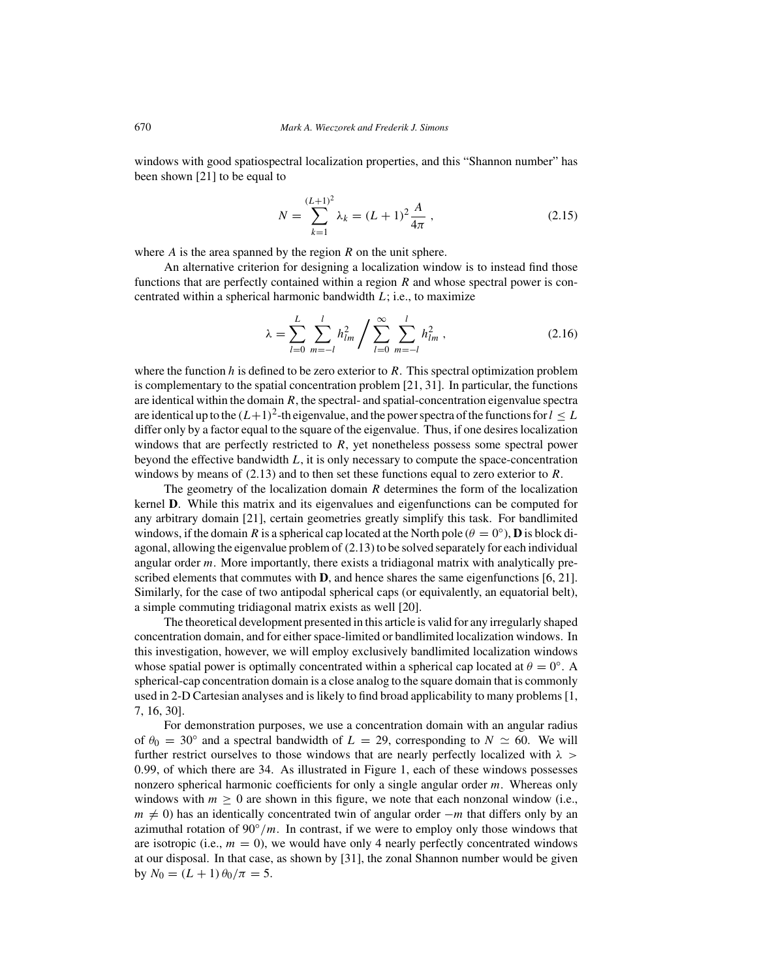windows with good spatiospectral localization properties, and this "Shannon number" has been shown [21] to be equal to

$$
N = \sum_{k=1}^{(L+1)^2} \lambda_k = (L+1)^2 \frac{A}{4\pi} \,, \tag{2.15}
$$

where *A* is the area spanned by the region *R* on the unit sphere.

An alternative criterion for designing a localization window is to instead find those functions that are perfectly contained within a region *R* and whose spectral power is concentrated within a spherical harmonic bandwidth *L*; i.e., to maximize

$$
\lambda = \sum_{l=0}^{L} \sum_{m=-l}^{l} h_{lm}^2 / \sum_{l=0}^{\infty} \sum_{m=-l}^{l} h_{lm}^2 , \qquad (2.16)
$$

where the function *h* is defined to be zero exterior to *R*. This spectral optimization problem is complementary to the spatial concentration problem  $[21, 31]$ . In particular, the functions are identical within the domain  $R$ , the spectral- and spatial-concentration eigenvalue spectra are identical up to the  $(L+1)^2$ -th eigenvalue, and the power spectra of the functions for  $l \leq L$ differ only by a factor equal to the square of the eigenvalue. Thus, if one desires localization windows that are perfectly restricted to *R*, yet nonetheless possess some spectral power beyond the effective bandwidth *L*, it is only necessary to compute the space-concentration windows by means of (2.13) and to then set these functions equal to zero exterior to *R*.

The geometry of the localization domain *R* determines the form of the localization kernel **D**. While this matrix and its eigenvalues and eigenfunctions can be computed for any arbitrary domain [21], certain geometries greatly simplify this task. For bandlimited windows, if the domain *R* is a spherical cap located at the North pole ( $\theta = 0^\circ$ ), **D** is block diagonal, allowing the eigenvalue problem of (2.13) to be solved separately for each individual angular order *m*. More importantly, there exists a tridiagonal matrix with analytically prescribed elements that commutes with **D**, and hence shares the same eigenfunctions [6, 21]. Similarly, for the case of two antipodal spherical caps (or equivalently, an equatorial belt), a simple commuting tridiagonal matrix exists as well [20].

The theoretical development presented in this article is valid for any irregularly shaped concentration domain, and for either space-limited or bandlimited localization windows. In this investigation, however, we will employ exclusively bandlimited localization windows whose spatial power is optimally concentrated within a spherical cap located at  $\theta = 0^\circ$ . A spherical-cap concentration domain is a close analog to the square domain that is commonly used in 2-D Cartesian analyses and is likely to find broad applicability to many problems [1, 7, 16, 30].

For demonstration purposes, we use a concentration domain with an angular radius of  $\theta_0 = 30^\circ$  and a spectral bandwidth of  $L = 29$ , corresponding to  $N \simeq 60$ . We will further restrict ourselves to those windows that are nearly perfectly localized with *λ >* 0*.*99, of which there are 34. As illustrated in Figure 1, each of these windows possesses nonzero spherical harmonic coefficients for only a single angular order *m*. Whereas only windows with  $m \geq 0$  are shown in this figure, we note that each nonzonal window (i.e.,  $m \neq 0$ ) has an identically concentrated twin of angular order  $-m$  that differs only by an azimuthal rotation of  $90°/m$ . In contrast, if we were to employ only those windows that are isotropic (i.e.,  $m = 0$ ), we would have only 4 nearly perfectly concentrated windows at our disposal. In that case, as shown by [31], the zonal Shannon number would be given by  $N_0 = (L+1) \theta_0/\pi = 5$ .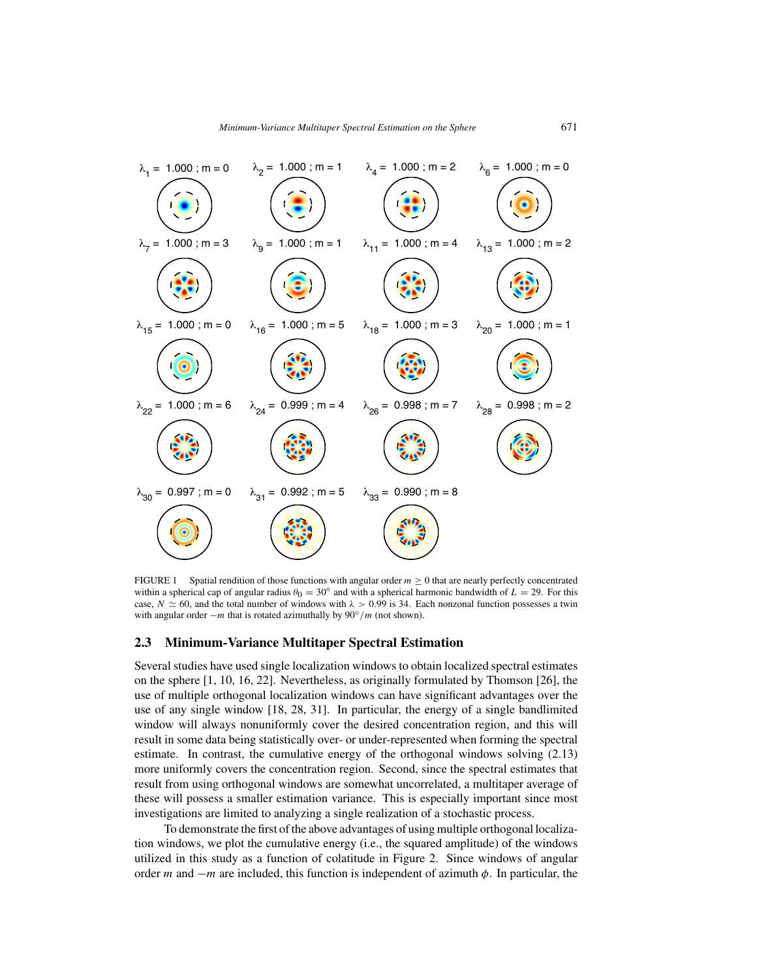

FIGURE 1 Spatial rendition of those functions with angular order  $m \geq 0$  that are nearly perfectly concentrated within a spherical cap of angular radius  $\theta_0 = 30^\circ$  and with a spherical harmonic bandwidth of  $L = 29$ . For this case,  $N \simeq 60$ , and the total number of windows with  $\lambda > 0.99$  is 34. Each nonzonal function possesses a twin with angular order −*m* that is rotated azimuthally by 90◦*/m* (not shown).

#### **2.3 Minimum-Variance Multitaper Spectral Estimation**

Several studies have used single localization windows to obtain localized spectral estimates on the sphere [1, 10, 16, 22]. Nevertheless, as originally formulated by Thomson [26], the use of multiple orthogonal localization windows can have significant advantages over the use of any single window [18, 28, 31]. In particular, the energy of a single bandlimited window will always nonuniformly cover the desired concentration region, and this will result in some data being statistically over- or under-represented when forming the spectral estimate. In contrast, the cumulative energy of the orthogonal windows solving (2.13) more uniformly covers the concentration region. Second, since the spectral estimates that result from using orthogonal windows are somewhat uncorrelated, a multitaper average of these will possess a smaller estimation variance. This is especially important since most investigations are limited to analyzing a single realization of a stochastic process.

To demonstrate the first of the above advantages of using multiple orthogonal localization windows, we plot the cumulative energy (i.e., the squared amplitude) of the windows utilized in this study as a function of colatitude in Figure 2. Since windows of angular order *m* and −*m* are included, this function is independent of azimuth *φ*. In particular, the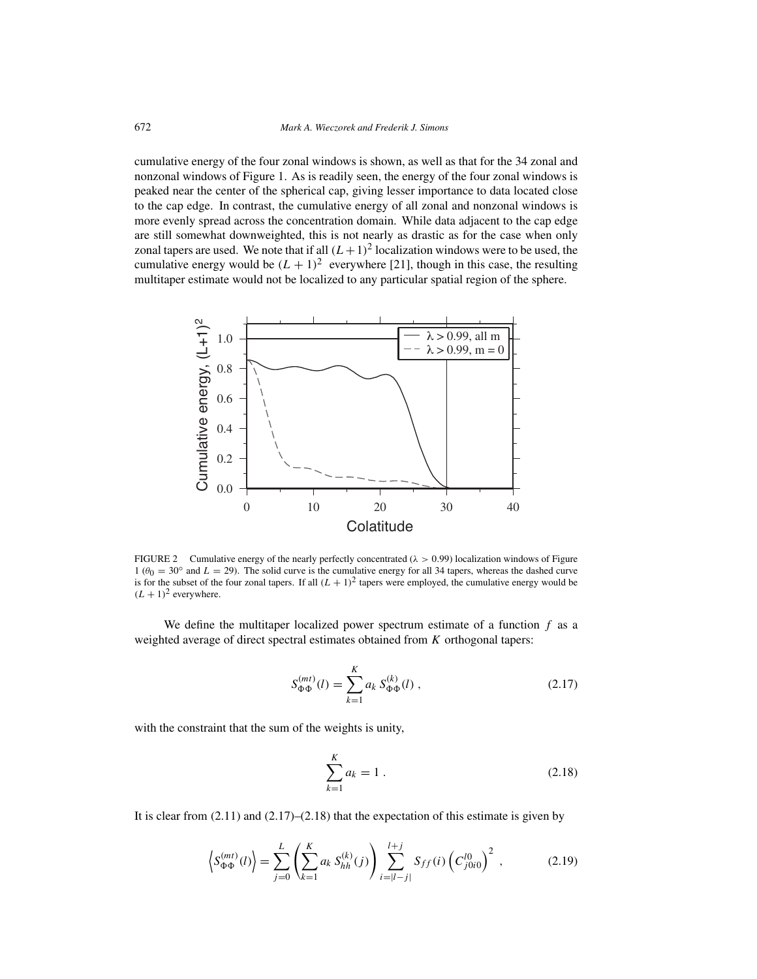cumulative energy of the four zonal windows is shown, as well as that for the 34 zonal and nonzonal windows of Figure 1. As is readily seen, the energy of the four zonal windows is peaked near the center of the spherical cap, giving lesser importance to data located close to the cap edge. In contrast, the cumulative energy of all zonal and nonzonal windows is more evenly spread across the concentration domain. While data adjacent to the cap edge are still somewhat downweighted, this is not nearly as drastic as for the case when only zonal tapers are used. We note that if all  $(L+1)^2$  localization windows were to be used, the cumulative energy would be  $(L + 1)^2$  everywhere [21], though in this case, the resulting multitaper estimate would not be localized to any particular spatial region of the sphere.



FIGURE 2 Cumulative energy of the nearly perfectly concentrated (*λ >* 0*.*99) localization windows of Figure  $1 (\theta_0 = 30° \text{ and } L = 29)$ . The solid curve is the cumulative energy for all 34 tapers, whereas the dashed curve is for the subset of the four zonal tapers. If all  $(L + 1)^2$  tapers were employed, the cumulative energy would be  $(L + 1)^2$  everywhere.

We define the multitaper localized power spectrum estimate of a function *f* as a weighted average of direct spectral estimates obtained from *K* orthogonal tapers:

$$
S_{\Phi\Phi}^{(mt)}(l) = \sum_{k=1}^{K} a_k S_{\Phi\Phi}^{(k)}(l) ,
$$
 (2.17)

with the constraint that the sum of the weights is unity,

$$
\sum_{k=1}^{K} a_k = 1.
$$
\n(2.18)

It is clear from  $(2.11)$  and  $(2.17)$ – $(2.18)$  that the expectation of this estimate is given by

$$
\left\langle S_{\Phi\Phi}^{(mt)}(l) \right\rangle = \sum_{j=0}^{L} \left( \sum_{k=1}^{K} a_k \, S_{hh}^{(k)}(j) \right) \sum_{i=|l-j|}^{l+j} S_{ff}(i) \left( C_{j0i0}^{l0} \right)^2 , \tag{2.19}
$$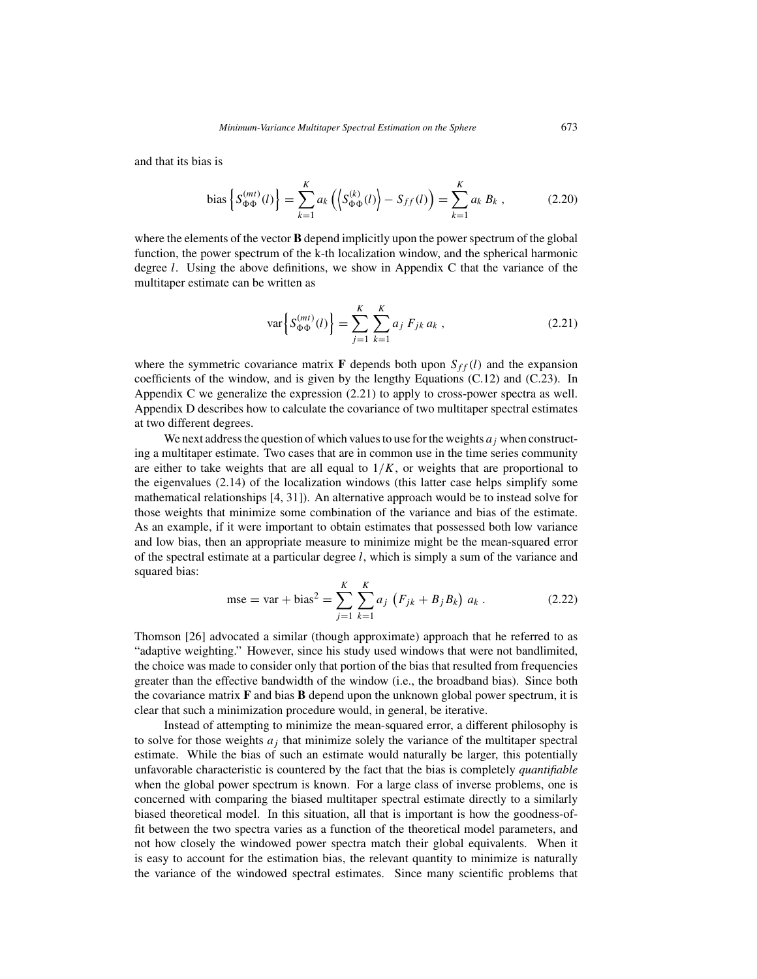and that its bias is

bias 
$$
\left\{ S_{\Phi\Phi}^{(mt)}(l) \right\} = \sum_{k=1}^{K} a_k \left( \left\langle S_{\Phi\Phi}^{(k)}(l) \right\rangle - S_{ff}(l) \right) = \sum_{k=1}^{K} a_k B_k
$$
, (2.20)

where the elements of the vector **B** depend implicitly upon the power spectrum of the global function, the power spectrum of the k-th localization window, and the spherical harmonic degree *l*. Using the above definitions, we show in Appendix C that the variance of the multitaper estimate can be written as

$$
\text{var}\left\{S_{\Phi\Phi}^{(mt)}(l)\right\} = \sum_{j=1}^{K} \sum_{k=1}^{K} a_j \, F_{jk} \, a_k \,, \tag{2.21}
$$

where the symmetric covariance matrix **F** depends both upon  $S_{ff}(l)$  and the expansion coefficients of the window, and is given by the lengthy Equations (C.12) and (C.23). In Appendix C we generalize the expression (2.21) to apply to cross-power spectra as well. Appendix D describes how to calculate the covariance of two multitaper spectral estimates at two different degrees.

We next address the question of which values to use for the weights  $a_j$  when constructing a multitaper estimate. Two cases that are in common use in the time series community are either to take weights that are all equal to  $1/K$ , or weights that are proportional to the eigenvalues (2.14) of the localization windows (this latter case helps simplify some mathematical relationships [4, 31]). An alternative approach would be to instead solve for those weights that minimize some combination of the variance and bias of the estimate. As an example, if it were important to obtain estimates that possessed both low variance and low bias, then an appropriate measure to minimize might be the mean-squared error of the spectral estimate at a particular degree *l*, which is simply a sum of the variance and squared bias:

mse = var + bias<sup>2</sup> = 
$$
\sum_{j=1}^{K} \sum_{k=1}^{K} a_j (F_{jk} + B_j B_k) a_k
$$
. (2.22)

Thomson [26] advocated a similar (though approximate) approach that he referred to as "adaptive weighting." However, since his study used windows that were not bandlimited, the choice was made to consider only that portion of the bias that resulted from frequencies greater than the effective bandwidth of the window (i.e., the broadband bias). Since both the covariance matrix **F** and bias **B** depend upon the unknown global power spectrum, it is clear that such a minimization procedure would, in general, be iterative.

Instead of attempting to minimize the mean-squared error, a different philosophy is to solve for those weights  $a_i$  that minimize solely the variance of the multitaper spectral estimate. While the bias of such an estimate would naturally be larger, this potentially unfavorable characteristic is countered by the fact that the bias is completely *quantifiable* when the global power spectrum is known. For a large class of inverse problems, one is concerned with comparing the biased multitaper spectral estimate directly to a similarly biased theoretical model. In this situation, all that is important is how the goodness-offit between the two spectra varies as a function of the theoretical model parameters, and not how closely the windowed power spectra match their global equivalents. When it is easy to account for the estimation bias, the relevant quantity to minimize is naturally the variance of the windowed spectral estimates. Since many scientific problems that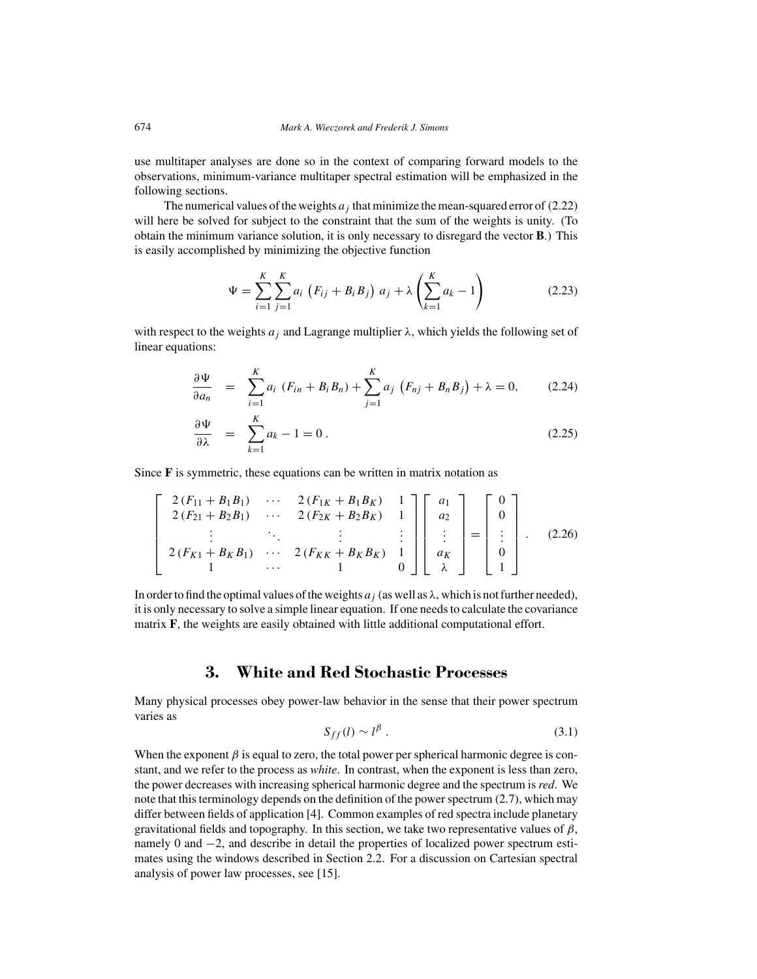use multitaper analyses are done so in the context of comparing forward models to the observations, minimum-variance multitaper spectral estimation will be emphasized in the following sections.

The numerical values of the weights  $a_j$  that minimize the mean-squared error of (2.22) will here be solved for subject to the constraint that the sum of the weights is unity. (To obtain the minimum variance solution, it is only necessary to disregard the vector **B**.) This is easily accomplished by minimizing the objective function

$$
\Psi = \sum_{i=1}^{K} \sum_{j=1}^{K} a_i \left( F_{ij} + B_i B_j \right) a_j + \lambda \left( \sum_{k=1}^{K} a_k - 1 \right)
$$
 (2.23)

with respect to the weights  $a_j$  and Lagrange multiplier  $\lambda$ , which yields the following set of linear equations:

$$
\frac{\partial \Psi}{\partial a_n} = \sum_{i=1}^K a_i \ (F_{in} + B_i B_n) + \sum_{j=1}^K a_j \ (F_{nj} + B_n B_j) + \lambda = 0, \qquad (2.24)
$$

$$
\frac{\partial \Psi}{\partial \lambda} = \sum_{k=1}^{K} a_k - 1 = 0.
$$
 (2.25)

Since **F** is symmetric, these equations can be written in matrix notation as

$$
\begin{bmatrix}\n2(F_{11} + B_1 B_1) & \cdots & 2(F_{1K} + B_1 B_K) & 1 \\
2(F_{21} + B_2 B_1) & \cdots & 2(F_{2K} + B_2 B_K) & 1 \\
\vdots & \ddots & \vdots & \vdots \\
2(F_{K1} + B_K B_1) & \cdots & 2(F_{KK} + B_K B_K) & 1 \\
1 & \cdots & 1 & 0\n\end{bmatrix}\n\begin{bmatrix}\na_1 \\
a_2 \\
\vdots \\
a_K \\
a_K\n\end{bmatrix} =\n\begin{bmatrix}\n0 \\
0 \\
\vdots \\
0 \\
1\n\end{bmatrix}.
$$
\n(2.26)

In order to find the optimal values of the weights  $a_j$  (as well as  $\lambda$ , which is not further needed), it is only necessary to solve a simple linear equation. If one needs to calculate the covariance matrix **F**, the weights are easily obtained with little additional computational effort.

#### **3. White and Red Stochastic Processes**

Many physical processes obey power-law behavior in the sense that their power spectrum varies as

$$
S_{ff}(l) \sim l^{\beta} \tag{3.1}
$$

When the exponent  $\beta$  is equal to zero, the total power per spherical harmonic degree is constant, and we refer to the process as *white*. In contrast, when the exponent is less than zero, the power decreases with increasing spherical harmonic degree and the spectrum is *red*. We note that this terminology depends on the definition of the power spectrum (2.7), which may differ between fields of application [4]. Common examples of red spectra include planetary gravitational fields and topography. In this section, we take two representative values of *β*, namely 0 and  $-2$ , and describe in detail the properties of localized power spectrum estimates using the windows described in Section 2.2. For a discussion on Cartesian spectral analysis of power law processes, see [15].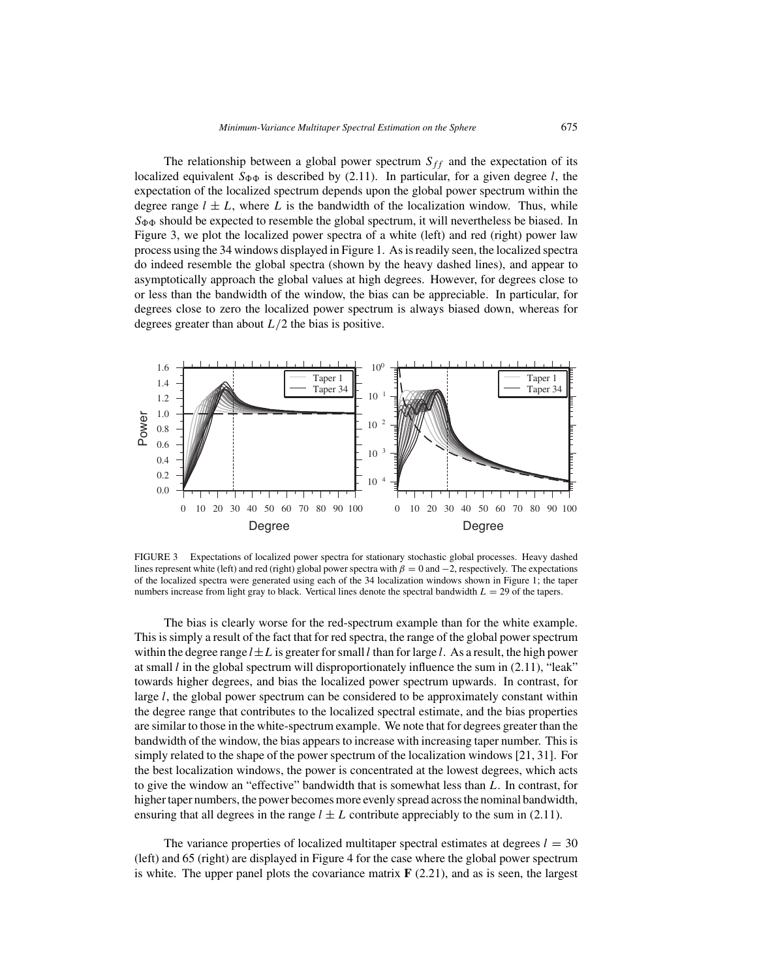The relationship between a global power spectrum  $S_{ff}$  and the expectation of its localized equivalent  $S_{\Phi\Phi}$  is described by (2.11). In particular, for a given degree *l*, the expectation of the localized spectrum depends upon the global power spectrum within the degree range  $l \pm L$ , where L is the bandwidth of the localization window. Thus, while  $S_{\Phi\Phi}$  should be expected to resemble the global spectrum, it will nevertheless be biased. In Figure 3, we plot the localized power spectra of a white (left) and red (right) power law process using the 34 windows displayed in Figure 1. As is readily seen, the localized spectra do indeed resemble the global spectra (shown by the heavy dashed lines), and appear to asymptotically approach the global values at high degrees. However, for degrees close to or less than the bandwidth of the window, the bias can be appreciable. In particular, for degrees close to zero the localized power spectrum is always biased down, whereas for degrees greater than about  $L/2$  the bias is positive.



FIGURE 3 Expectations of localized power spectra for stationary stochastic global processes. Heavy dashed lines represent white (left) and red (right) global power spectra with *β* = 0 and −2, respectively. The expectations of the localized spectra were generated using each of the 34 localization windows shown in Figure 1; the taper numbers increase from light gray to black. Vertical lines denote the spectral bandwidth *L* = 29 of the tapers.

The bias is clearly worse for the red-spectrum example than for the white example. This is simply a result of the fact that for red spectra, the range of the global power spectrum within the degree range  $l \pm L$  is greater for small *l* than for large *l*. As a result, the high power at small *l* in the global spectrum will disproportionately influence the sum in (2.11), "leak" towards higher degrees, and bias the localized power spectrum upwards. In contrast, for large *l*, the global power spectrum can be considered to be approximately constant within the degree range that contributes to the localized spectral estimate, and the bias properties are similar to those in the white-spectrum example. We note that for degrees greater than the bandwidth of the window, the bias appears to increase with increasing taper number. This is simply related to the shape of the power spectrum of the localization windows [21, 31]. For the best localization windows, the power is concentrated at the lowest degrees, which acts to give the window an "effective" bandwidth that is somewhat less than *L*. In contrast, for higher taper numbers, the power becomes more evenly spread across the nominal bandwidth, ensuring that all degrees in the range  $l \pm L$  contribute appreciably to the sum in (2.11).

The variance properties of localized multitaper spectral estimates at degrees  $l = 30$ (left) and 65 (right) are displayed in Figure 4 for the case where the global power spectrum is white. The upper panel plots the covariance matrix  $\mathbf{F}$  (2.21), and as is seen, the largest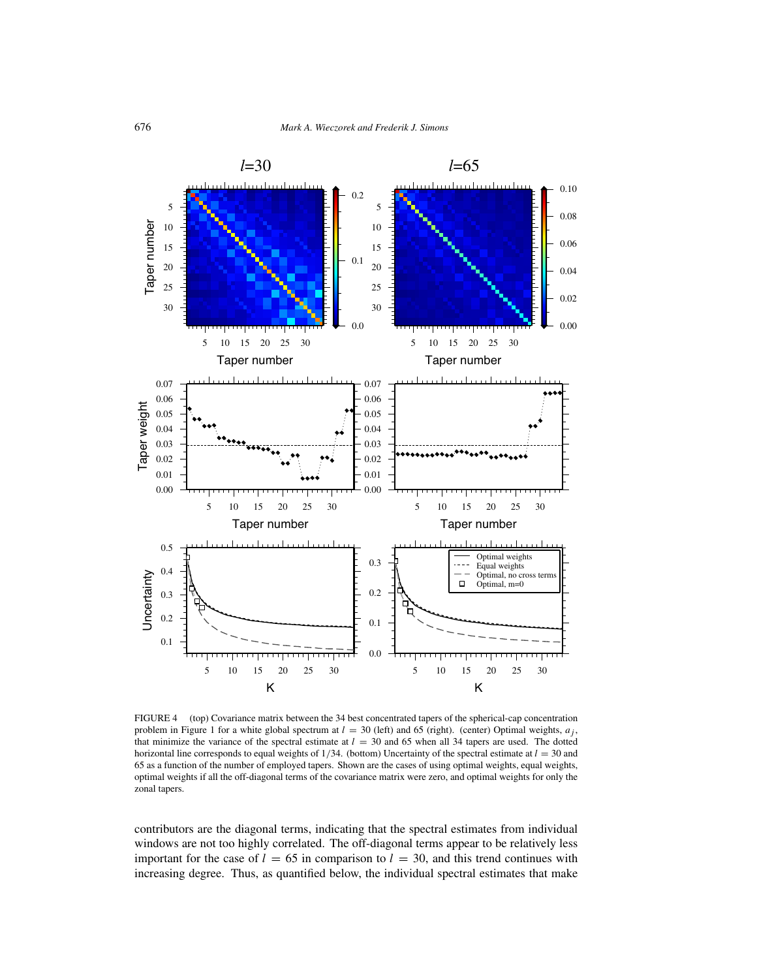

FIGURE 4 (top) Covariance matrix between the 34 best concentrated tapers of the spherical-cap concentration problem in Figure 1 for a white global spectrum at  $l = 30$  (left) and 65 (right). (center) Optimal weights,  $a_j$ , that minimize the variance of the spectral estimate at  $l = 30$  and 65 when all 34 tapers are used. The dotted horizontal line corresponds to equal weights of  $1/34$ . (bottom) Uncertainty of the spectral estimate at  $l = 30$  and 65 as a function of the number of employed tapers. Shown are the cases of using optimal weights, equal weights, optimal weights if all the off-diagonal terms of the covariance matrix were zero, and optimal weights for only the zonal tapers.

contributors are the diagonal terms, indicating that the spectral estimates from individual windows are not too highly correlated. The off-diagonal terms appear to be relatively less important for the case of  $l = 65$  in comparison to  $l = 30$ , and this trend continues with increasing degree. Thus, as quantified below, the individual spectral estimates that make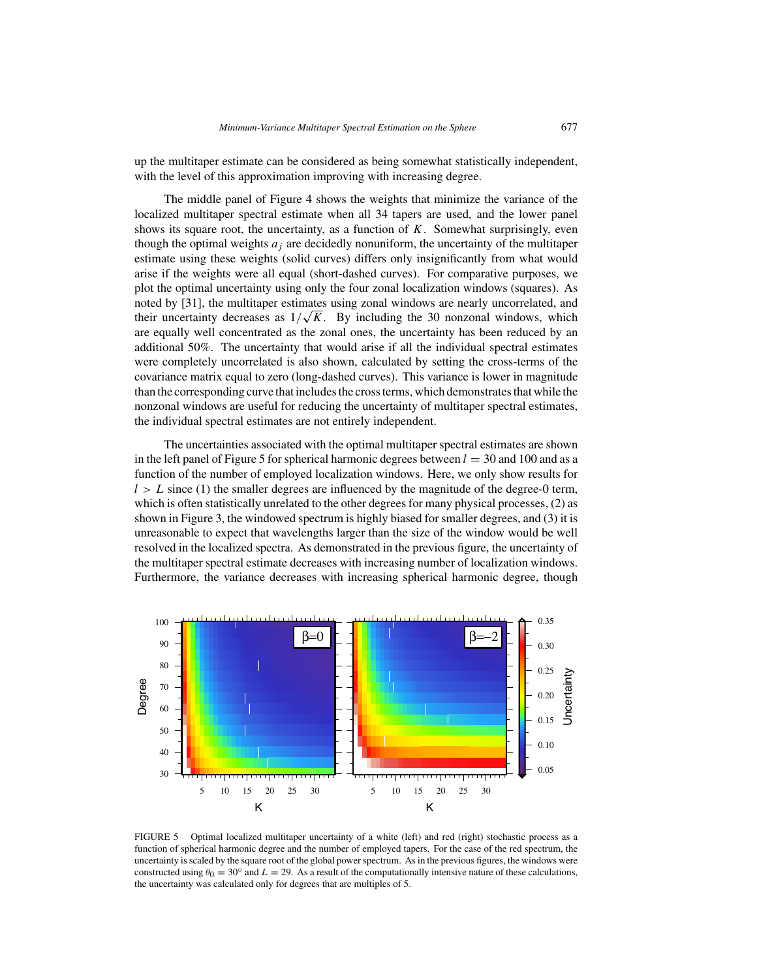up the multitaper estimate can be considered as being somewhat statistically independent, with the level of this approximation improving with increasing degree.

The middle panel of Figure 4 shows the weights that minimize the variance of the localized multitaper spectral estimate when all 34 tapers are used, and the lower panel shows its square root, the uncertainty, as a function of *K*. Somewhat surprisingly, even though the optimal weights  $a_j$  are decidedly nonuniform, the uncertainty of the multitaper estimate using these weights (solid curves) differs only insignificantly from what would arise if the weights were all equal (short-dashed curves). For comparative purposes, we plot the optimal uncertainty using only the four zonal localization windows (squares). As noted by [31], the multitaper estimates using zonal windows are nearly uncorrelated, and noted by [31], the multitaper estimates using zonal windows are nearly uncorrelated, and<br>their uncertainty decreases as  $1/\sqrt{K}$ . By including the 30 nonzonal windows, which are equally well concentrated as the zonal ones, the uncertainty has been reduced by an additional 50%. The uncertainty that would arise if all the individual spectral estimates were completely uncorrelated is also shown, calculated by setting the cross-terms of the covariance matrix equal to zero (long-dashed curves). This variance is lower in magnitude than the corresponding curve that includes the cross terms, which demonstrates that while the nonzonal windows are useful for reducing the uncertainty of multitaper spectral estimates, the individual spectral estimates are not entirely independent.

The uncertainties associated with the optimal multitaper spectral estimates are shown in the left panel of Figure 5 for spherical harmonic degrees between  $l = 30$  and 100 and as a function of the number of employed localization windows. Here, we only show results for  $l>L$  since (1) the smaller degrees are influenced by the magnitude of the degree-0 term, which is often statistically unrelated to the other degrees for many physical processes, (2) as shown in Figure 3, the windowed spectrum is highly biased for smaller degrees, and (3) it is unreasonable to expect that wavelengths larger than the size of the window would be well resolved in the localized spectra. As demonstrated in the previous figure, the uncertainty of the multitaper spectral estimate decreases with increasing number of localization windows. Furthermore, the variance decreases with increasing spherical harmonic degree, though



FIGURE 5 Optimal localized multitaper uncertainty of a white (left) and red (right) stochastic process as a function of spherical harmonic degree and the number of employed tapers. For the case of the red spectrum, the uncertainty is scaled by the square root of the global power spectrum. As in the previous figures, the windows were constructed using  $\theta_0 = 30^\circ$  and  $L = 29$ . As a result of the computationally intensive nature of these calculations, the uncertainty was calculated only for degrees that are multiples of 5.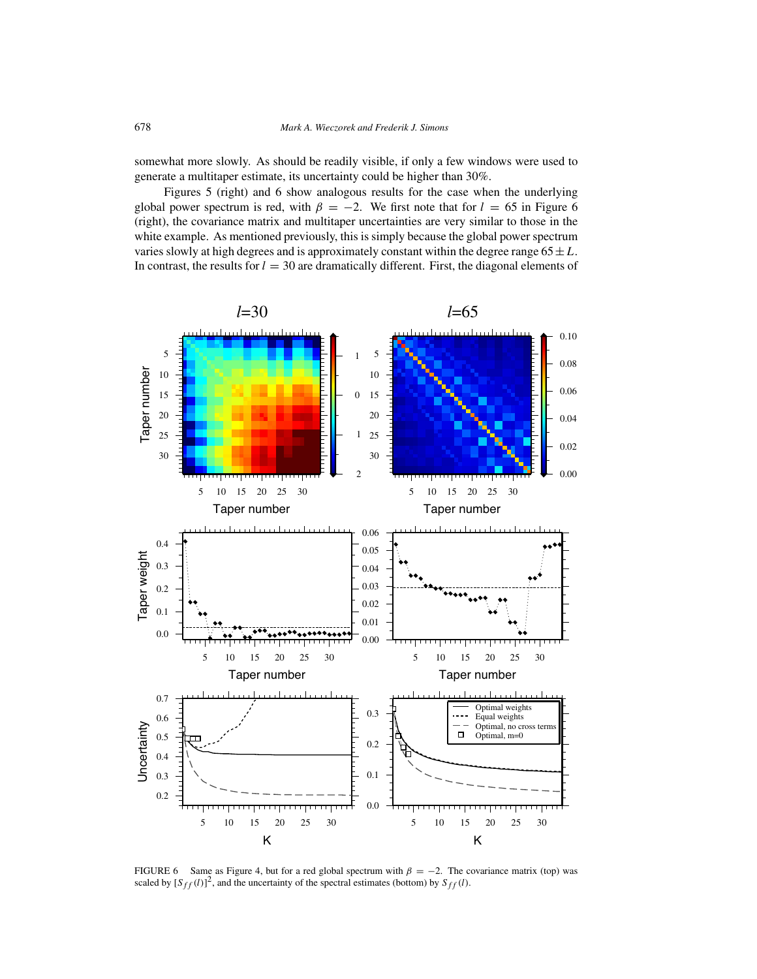somewhat more slowly. As should be readily visible, if only a few windows were used to generate a multitaper estimate, its uncertainty could be higher than 30%.

Figures 5 (right) and 6 show analogous results for the case when the underlying global power spectrum is red, with  $\beta = -2$ . We first note that for  $l = 65$  in Figure 6 (right), the covariance matrix and multitaper uncertainties are very similar to those in the white example. As mentioned previously, this is simply because the global power spectrum varies slowly at high degrees and is approximately constant within the degree range  $65 \pm L$ . In contrast, the results for  $l = 30$  are dramatically different. First, the diagonal elements of



FIGURE 6 Same as Figure 4, but for a red global spectrum with  $\beta = -2$ . The covariance matrix (top) was scaled by  $[S_{ff}(l)]^2$ , and the uncertainty of the spectral estimates (bottom) by  $S_{ff}(l)$ .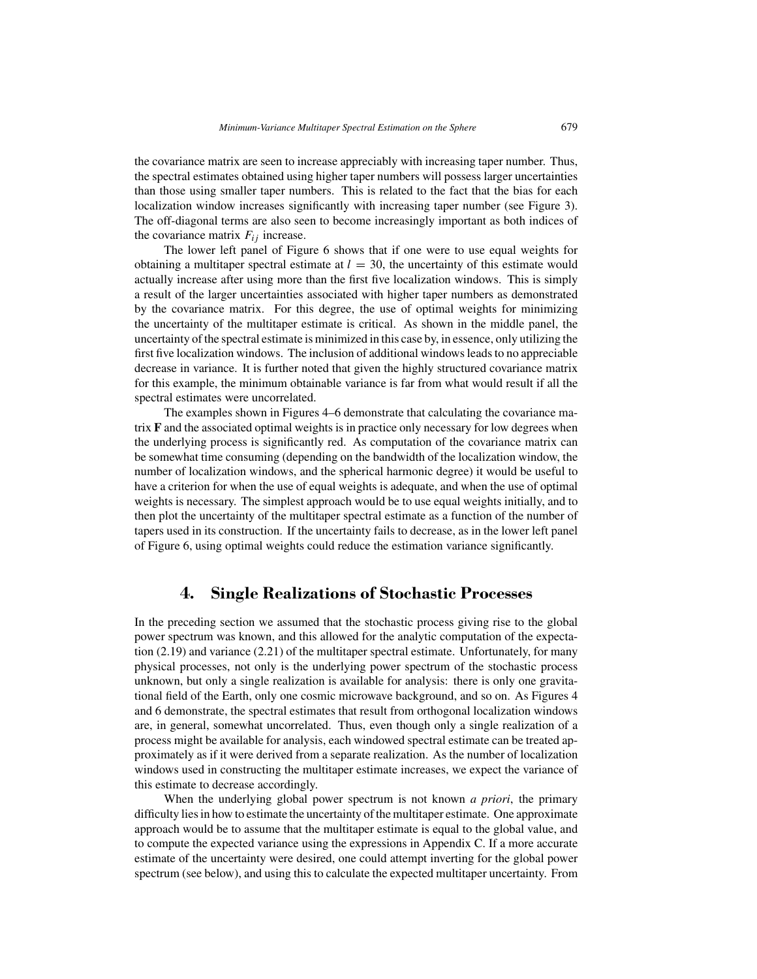the covariance matrix are seen to increase appreciably with increasing taper number. Thus, the spectral estimates obtained using higher taper numbers will possess larger uncertainties than those using smaller taper numbers. This is related to the fact that the bias for each localization window increases significantly with increasing taper number (see Figure 3). The off-diagonal terms are also seen to become increasingly important as both indices of the covariance matrix  $F_{ij}$  increase.

The lower left panel of Figure 6 shows that if one were to use equal weights for obtaining a multitaper spectral estimate at  $l = 30$ , the uncertainty of this estimate would actually increase after using more than the first five localization windows. This is simply a result of the larger uncertainties associated with higher taper numbers as demonstrated by the covariance matrix. For this degree, the use of optimal weights for minimizing the uncertainty of the multitaper estimate is critical. As shown in the middle panel, the uncertainty of the spectral estimate is minimized in this case by, in essence, only utilizing the first five localization windows. The inclusion of additional windows leads to no appreciable decrease in variance. It is further noted that given the highly structured covariance matrix for this example, the minimum obtainable variance is far from what would result if all the spectral estimates were uncorrelated.

The examples shown in Figures 4–6 demonstrate that calculating the covariance matrix **F** and the associated optimal weights is in practice only necessary for low degrees when the underlying process is significantly red. As computation of the covariance matrix can be somewhat time consuming (depending on the bandwidth of the localization window, the number of localization windows, and the spherical harmonic degree) it would be useful to have a criterion for when the use of equal weights is adequate, and when the use of optimal weights is necessary. The simplest approach would be to use equal weights initially, and to then plot the uncertainty of the multitaper spectral estimate as a function of the number of tapers used in its construction. If the uncertainty fails to decrease, as in the lower left panel of Figure 6, using optimal weights could reduce the estimation variance significantly.

#### **4. Single Realizations of Stochastic Processes**

In the preceding section we assumed that the stochastic process giving rise to the global power spectrum was known, and this allowed for the analytic computation of the expectation (2.19) and variance (2.21) of the multitaper spectral estimate. Unfortunately, for many physical processes, not only is the underlying power spectrum of the stochastic process unknown, but only a single realization is available for analysis: there is only one gravitational field of the Earth, only one cosmic microwave background, and so on. As Figures 4 and 6 demonstrate, the spectral estimates that result from orthogonal localization windows are, in general, somewhat uncorrelated. Thus, even though only a single realization of a process might be available for analysis, each windowed spectral estimate can be treated approximately as if it were derived from a separate realization. As the number of localization windows used in constructing the multitaper estimate increases, we expect the variance of this estimate to decrease accordingly.

When the underlying global power spectrum is not known *a priori*, the primary difficulty lies in how to estimate the uncertainty of the multitaper estimate. One approximate approach would be to assume that the multitaper estimate is equal to the global value, and to compute the expected variance using the expressions in Appendix C. If a more accurate estimate of the uncertainty were desired, one could attempt inverting for the global power spectrum (see below), and using this to calculate the expected multitaper uncertainty. From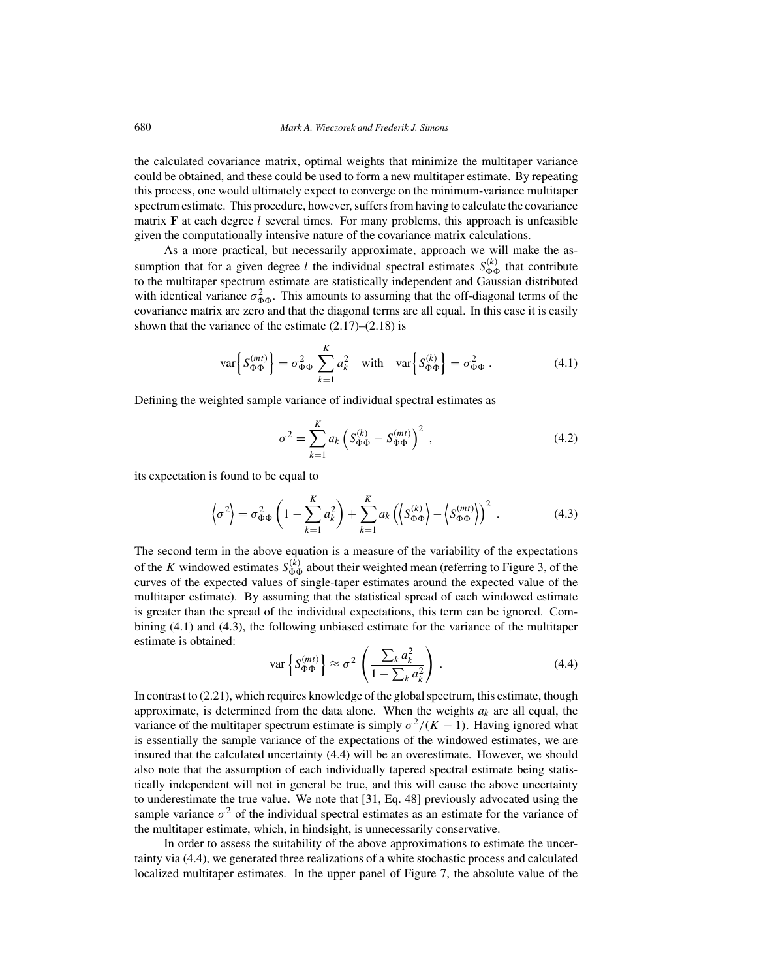the calculated covariance matrix, optimal weights that minimize the multitaper variance could be obtained, and these could be used to form a new multitaper estimate. By repeating this process, one would ultimately expect to converge on the minimum-variance multitaper spectrum estimate. This procedure, however, suffers from having to calculate the covariance matrix **F** at each degree *l* several times. For many problems, this approach is unfeasible given the computationally intensive nature of the covariance matrix calculations.

As a more practical, but necessarily approximate, approach we will make the assumption that for a given degree *l* the individual spectral estimates  $S_{\Phi\Phi}^{(k)}$  that contribute to the multitaper spectrum estimate are statistically independent and Gaussian distributed with identical variance  $\sigma_{\Phi\Phi}^2$ . This amounts to assuming that the off-diagonal terms of the covariance matrix are zero and that the diagonal terms are all equal. In this case it is easily shown that the variance of the estimate  $(2.17)$ – $(2.18)$  is

$$
\text{var}\left\{S_{\Phi\Phi}^{(mt)}\right\} = \sigma_{\Phi\Phi}^2 \sum_{k=1}^K a_k^2 \quad \text{with} \quad \text{var}\left\{S_{\Phi\Phi}^{(k)}\right\} = \sigma_{\Phi\Phi}^2. \tag{4.1}
$$

Defining the weighted sample variance of individual spectral estimates as

$$
\sigma^2 = \sum_{k=1}^{K} a_k \left( S_{\Phi\Phi}^{(k)} - S_{\Phi\Phi}^{(mt)} \right)^2 , \qquad (4.2)
$$

its expectation is found to be equal to

$$
\left\langle \sigma^2 \right\rangle = \sigma_{\Phi\Phi}^2 \left( 1 - \sum_{k=1}^K a_k^2 \right) + \sum_{k=1}^K a_k \left( \left\langle S_{\Phi\Phi}^{(k)} \right\rangle - \left\langle S_{\Phi\Phi}^{(mt)} \right\rangle \right)^2 \,. \tag{4.3}
$$

The second term in the above equation is a measure of the variability of the expectations of the *K* windowed estimates  $S_{\Phi\Phi}^{(k)}$  about their weighted mean (referring to Figure 3, of the curves of the expected values of single-taper estimates around the expected value of the multitaper estimate). By assuming that the statistical spread of each windowed estimate is greater than the spread of the individual expectations, this term can be ignored. Combining (4.1) and (4.3), the following unbiased estimate for the variance of the multitaper estimate is obtained:

$$
\text{var}\left\{S_{\Phi\Phi}^{(mt)}\right\} \approx \sigma^2 \left(\frac{\sum_k a_k^2}{1 - \sum_k a_k^2}\right). \tag{4.4}
$$

In contrast to (2.21), which requires knowledge of the global spectrum, this estimate, though approximate, is determined from the data alone. When the weights  $a_k$  are all equal, the variance of the multitaper spectrum estimate is simply  $\sigma^2/(K-1)$ . Having ignored what is essentially the sample variance of the expectations of the windowed estimates, we are insured that the calculated uncertainty (4.4) will be an overestimate. However, we should also note that the assumption of each individually tapered spectral estimate being statistically independent will not in general be true, and this will cause the above uncertainty to underestimate the true value. We note that [31, Eq. 48] previously advocated using the sample variance  $\sigma^2$  of the individual spectral estimates as an estimate for the variance of the multitaper estimate, which, in hindsight, is unnecessarily conservative.

In order to assess the suitability of the above approximations to estimate the uncertainty via (4.4), we generated three realizations of a white stochastic process and calculated localized multitaper estimates. In the upper panel of Figure 7, the absolute value of the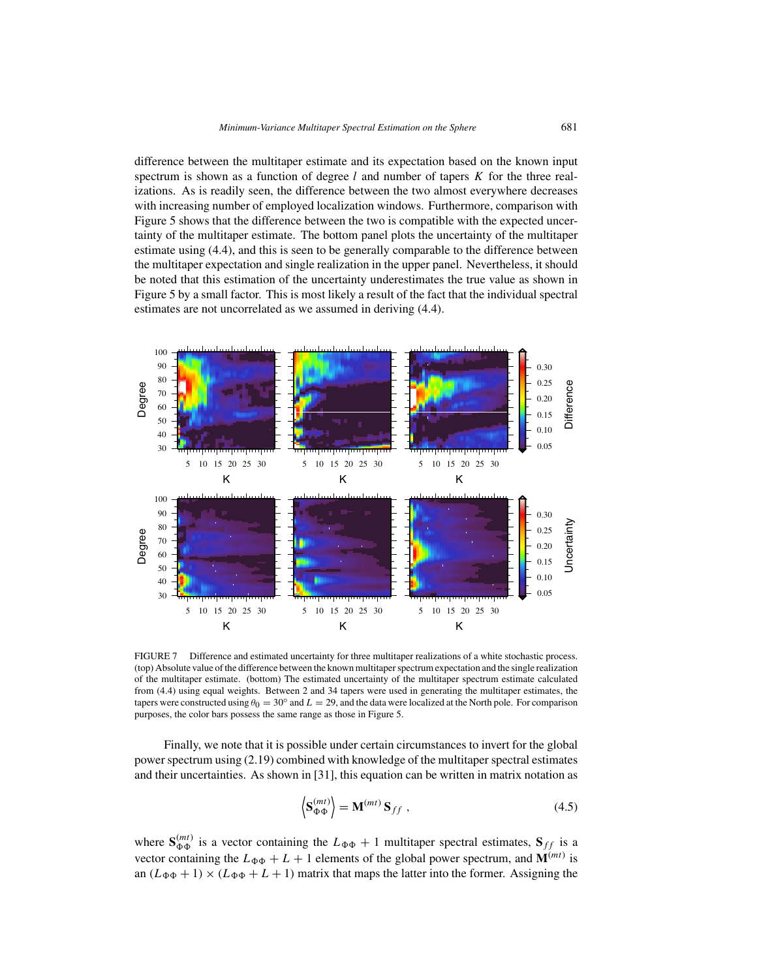difference between the multitaper estimate and its expectation based on the known input spectrum is shown as a function of degree *l* and number of tapers *K* for the three realizations. As is readily seen, the difference between the two almost everywhere decreases with increasing number of employed localization windows. Furthermore, comparison with Figure 5 shows that the difference between the two is compatible with the expected uncertainty of the multitaper estimate. The bottom panel plots the uncertainty of the multitaper estimate using (4.4), and this is seen to be generally comparable to the difference between the multitaper expectation and single realization in the upper panel. Nevertheless, it should be noted that this estimation of the uncertainty underestimates the true value as shown in Figure 5 by a small factor. This is most likely a result of the fact that the individual spectral estimates are not uncorrelated as we assumed in deriving (4.4).



FIGURE 7 Difference and estimated uncertainty for three multitaper realizations of a white stochastic process. (top) Absolute value of the difference between the known multitaper spectrum expectation and the single realization of the multitaper estimate. (bottom) The estimated uncertainty of the multitaper spectrum estimate calculated from (4.4) using equal weights. Between 2 and 34 tapers were used in generating the multitaper estimates, the tapers were constructed using  $\theta_0 = 30^\circ$  and  $L = 29$ , and the data were localized at the North pole. For comparison purposes, the color bars possess the same range as those in Figure 5.

Finally, we note that it is possible under certain circumstances to invert for the global power spectrum using (2.19) combined with knowledge of the multitaper spectral estimates and their uncertainties. As shown in [31], this equation can be written in matrix notation as

$$
\left\langle \mathbf{S}_{\Phi\Phi}^{(mt)} \right\rangle = \mathbf{M}^{(mt)} \, \mathbf{S}_{ff} \tag{4.5}
$$

where  $S_{\Phi\Phi}^{(mt)}$  is a vector containing the  $L_{\Phi\Phi} + 1$  multitaper spectral estimates,  $S_{ff}$  is a vector containing the  $L_{\Phi\Phi} + L + 1$  elements of the global power spectrum, and  $\mathbf{M}^{(mt)}$  is an  $(L_{\Phi\Phi} + 1) \times (L_{\Phi\Phi} + L + 1)$  matrix that maps the latter into the former. Assigning the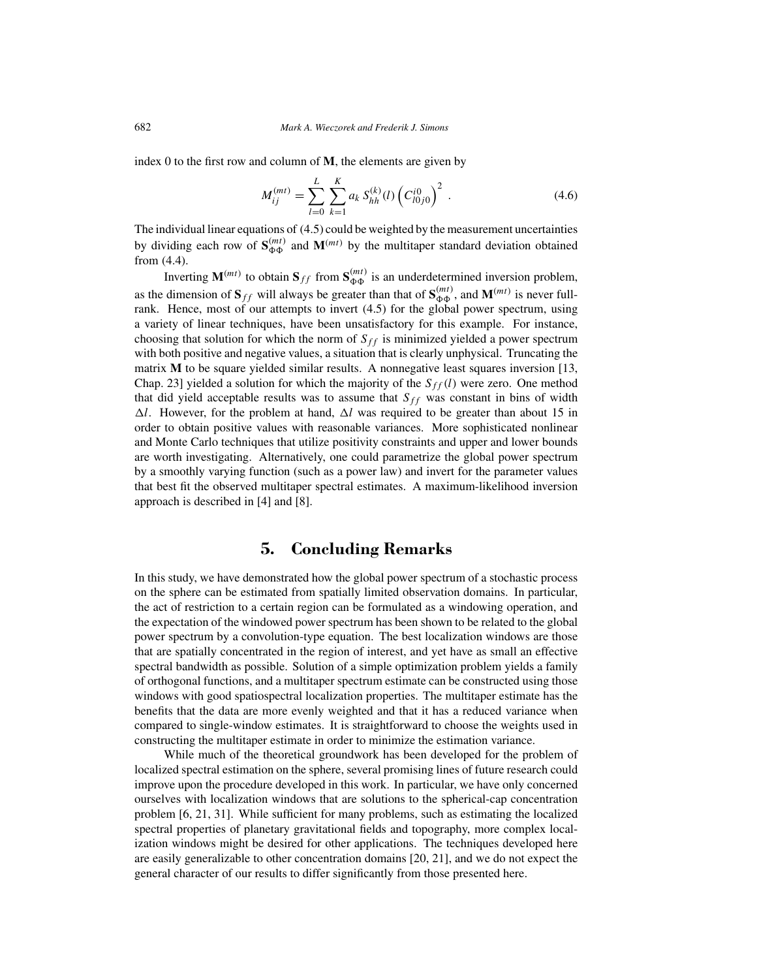index 0 to the first row and column of **M**, the elements are given by

$$
M_{ij}^{(mt)} = \sum_{l=0}^{L} \sum_{k=1}^{K} a_k S_{hh}^{(k)}(l) \left( C_{l0j0}^{i0} \right)^2 \,. \tag{4.6}
$$

The individual linear equations of (4.5) could be weighted by the measurement uncertainties by dividing each row of  $S_{\Phi\Phi}^{(mt)}$  and  $M^{(mt)}$  by the multitaper standard deviation obtained from (4.4).

Inverting  $\mathbf{M}^{(mt)}$  to obtain  $\mathbf{S}_{ff}$  from  $\mathbf{S}_{\Phi\Phi}^{(mt)}$  is an underdetermined inversion problem, as the dimension of  $S_{ff}$  will always be greater than that of  $S_{\Phi\Phi}^{(mt)}$ , and  $M^{(mt)}$  is never fullrank. Hence, most of our attempts to invert (4.5) for the global power spectrum, using a variety of linear techniques, have been unsatisfactory for this example. For instance, choosing that solution for which the norm of  $S_{ff}$  is minimized yielded a power spectrum with both positive and negative values, a situation that is clearly unphysical. Truncating the matrix **M** to be square yielded similar results. A nonnegative least squares inversion [13, Chap. 23] yielded a solution for which the majority of the  $S_f f(l)$  were zero. One method that did yield acceptable results was to assume that  $S_{ff}$  was constant in bins of width  $\Delta l$ . However, for the problem at hand,  $\Delta l$  was required to be greater than about 15 in order to obtain positive values with reasonable variances. More sophisticated nonlinear and Monte Carlo techniques that utilize positivity constraints and upper and lower bounds are worth investigating. Alternatively, one could parametrize the global power spectrum by a smoothly varying function (such as a power law) and invert for the parameter values that best fit the observed multitaper spectral estimates. A maximum-likelihood inversion approach is described in [4] and [8].

#### **5. Concluding Remarks**

In this study, we have demonstrated how the global power spectrum of a stochastic process on the sphere can be estimated from spatially limited observation domains. In particular, the act of restriction to a certain region can be formulated as a windowing operation, and the expectation of the windowed power spectrum has been shown to be related to the global power spectrum by a convolution-type equation. The best localization windows are those that are spatially concentrated in the region of interest, and yet have as small an effective spectral bandwidth as possible. Solution of a simple optimization problem yields a family of orthogonal functions, and a multitaper spectrum estimate can be constructed using those windows with good spatiospectral localization properties. The multitaper estimate has the benefits that the data are more evenly weighted and that it has a reduced variance when compared to single-window estimates. It is straightforward to choose the weights used in constructing the multitaper estimate in order to minimize the estimation variance.

While much of the theoretical groundwork has been developed for the problem of localized spectral estimation on the sphere, several promising lines of future research could improve upon the procedure developed in this work. In particular, we have only concerned ourselves with localization windows that are solutions to the spherical-cap concentration problem [6, 21, 31]. While sufficient for many problems, such as estimating the localized spectral properties of planetary gravitational fields and topography, more complex localization windows might be desired for other applications. The techniques developed here are easily generalizable to other concentration domains [20, 21], and we do not expect the general character of our results to differ significantly from those presented here.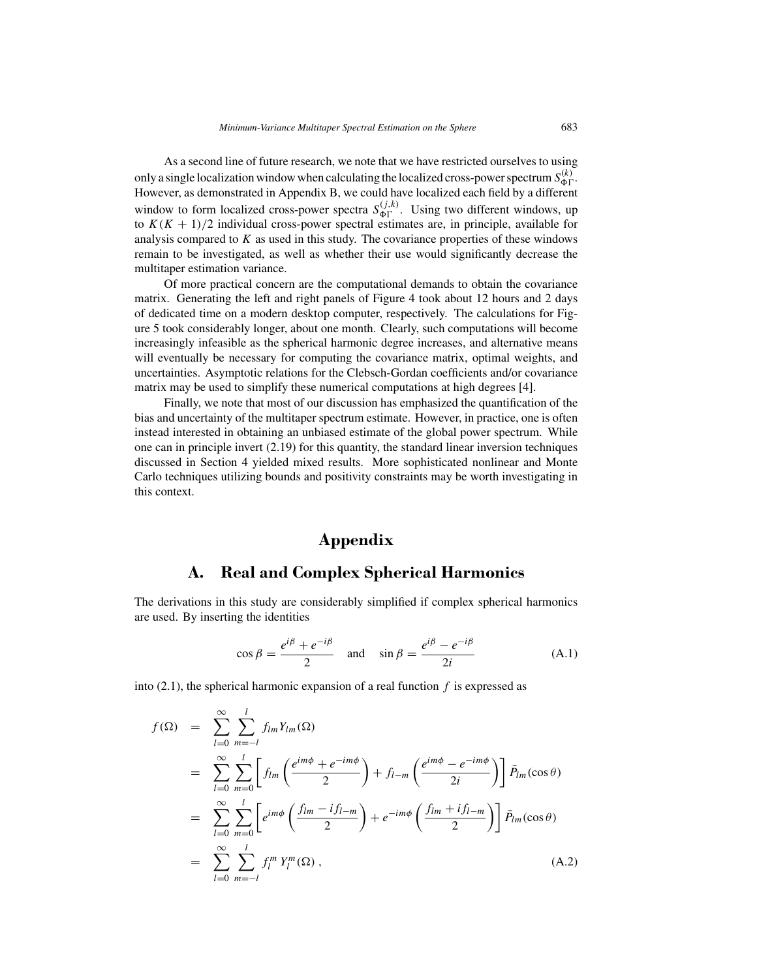As a second line of future research, we note that we have restricted ourselves to using only a single localization window when calculating the localized cross-power spectrum  $S_{\Phi\Gamma}^{(k)}$ . However, as demonstrated in Appendix B, we could have localized each field by a different window to form localized cross-power spectra  $S_{\Phi\Gamma}^{(j,k)}$ . Using two different windows, up to  $K(K + 1)/2$  individual cross-power spectral estimates are, in principle, available for analysis compared to *K* as used in this study. The covariance properties of these windows remain to be investigated, as well as whether their use would significantly decrease the multitaper estimation variance.

Of more practical concern are the computational demands to obtain the covariance matrix. Generating the left and right panels of Figure 4 took about 12 hours and 2 days of dedicated time on a modern desktop computer, respectively. The calculations for Figure 5 took considerably longer, about one month. Clearly, such computations will become increasingly infeasible as the spherical harmonic degree increases, and alternative means will eventually be necessary for computing the covariance matrix, optimal weights, and uncertainties. Asymptotic relations for the Clebsch-Gordan coefficients and/or covariance matrix may be used to simplify these numerical computations at high degrees [4].

Finally, we note that most of our discussion has emphasized the quantification of the bias and uncertainty of the multitaper spectrum estimate. However, in practice, one is often instead interested in obtaining an unbiased estimate of the global power spectrum. While one can in principle invert (2.19) for this quantity, the standard linear inversion techniques discussed in Section 4 yielded mixed results. More sophisticated nonlinear and Monte Carlo techniques utilizing bounds and positivity constraints may be worth investigating in this context.

## **Appendix**

#### **A. Real and Complex Spherical Harmonics**

The derivations in this study are considerably simplified if complex spherical harmonics are used. By inserting the identities

$$
\cos \beta = \frac{e^{i\beta} + e^{-i\beta}}{2} \quad \text{and} \quad \sin \beta = \frac{e^{i\beta} - e^{-i\beta}}{2i} \tag{A.1}
$$

into (2.1), the spherical harmonic expansion of a real function *f* is expressed as

$$
f(\Omega) = \sum_{l=0}^{\infty} \sum_{m=-l}^{l} f_{lm} Y_{lm}(\Omega)
$$
  
\n
$$
= \sum_{l=0}^{\infty} \sum_{m=0}^{l} \left[ f_{lm} \left( \frac{e^{im\phi} + e^{-im\phi}}{2} \right) + f_{l-m} \left( \frac{e^{im\phi} - e^{-im\phi}}{2i} \right) \right] \bar{P}_{lm}(\cos \theta)
$$
  
\n
$$
= \sum_{l=0}^{\infty} \sum_{m=0}^{l} \left[ e^{im\phi} \left( \frac{f_{lm} - if_{l-m}}{2} \right) + e^{-im\phi} \left( \frac{f_{lm} + if_{l-m}}{2} \right) \right] \bar{P}_{lm}(\cos \theta)
$$
  
\n
$$
= \sum_{l=0}^{\infty} \sum_{m=-l}^{l} f_{l}^{m} Y_{l}^{m}(\Omega), \qquad (A.2)
$$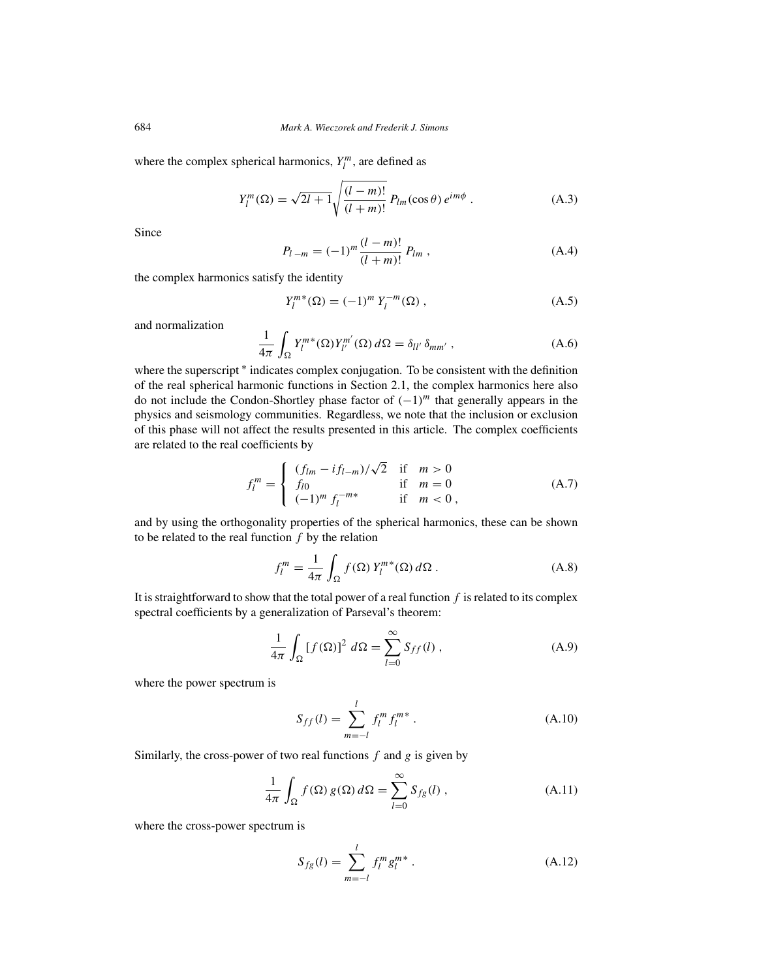where the complex spherical harmonics,  $Y_l^m$ , are defined as

$$
Y_{l}^{m}(\Omega) = \sqrt{2l+1} \sqrt{\frac{(l-m)!}{(l+m)!}} P_{lm}(\cos \theta) e^{im\phi} . \tag{A.3}
$$

Since

$$
P_{l-m} = (-1)^m \frac{(l-m)!}{(l+m)!} P_{lm} , \qquad (A.4)
$$

the complex harmonics satisfy the identity

$$
Y_l^{m*}(\Omega) = (-1)^m Y_l^{-m}(\Omega) , \qquad (A.5)
$$

and normalization

$$
\frac{1}{4\pi} \int_{\Omega} Y_l^{m*}(\Omega) Y_{l'}^{m'}(\Omega) d\Omega = \delta_{ll'} \delta_{mm'} , \qquad (A.6)
$$

where the superscript  $*$  indicates complex conjugation. To be consistent with the definition of the real spherical harmonic functions in Section 2.1, the complex harmonics here also do not include the Condon-Shortley phase factor of *(*−1*)<sup>m</sup>* that generally appears in the physics and seismology communities. Regardless, we note that the inclusion or exclusion of this phase will not affect the results presented in this article. The complex coefficients are related to the real coefficients by

$$
f_l^m = \begin{cases} (f_{lm} - if_{l-m})/\sqrt{2} & \text{if } m > 0\\ f_{l0} & \text{if } m = 0\\ (-1)^m f_l^{-m*} & \text{if } m < 0, \end{cases}
$$
(A.7)

and by using the orthogonality properties of the spherical harmonics, these can be shown to be related to the real function *f* by the relation

$$
f_l^m = \frac{1}{4\pi} \int_{\Omega} f(\Omega) Y_l^{m*}(\Omega) d\Omega.
$$
 (A.8)

It is straightforward to show that the total power of a real function *f* is related to its complex spectral coefficients by a generalization of Parseval's theorem:

$$
\frac{1}{4\pi} \int_{\Omega} \left[ f(\Omega) \right]^2 d\Omega = \sum_{l=0}^{\infty} S_{ff}(l) , \qquad (A.9)
$$

where the power spectrum is

$$
S_{ff}(l) = \sum_{m=-l}^{l} f_l^m f_l^{m*} . \tag{A.10}
$$

Similarly, the cross-power of two real functions *f* and *g* is given by

$$
\frac{1}{4\pi} \int_{\Omega} f(\Omega) g(\Omega) d\Omega = \sum_{l=0}^{\infty} S_{fg}(l) , \qquad (A.11)
$$

where the cross-power spectrum is

$$
S_{fg}(l) = \sum_{m=-l}^{l} f_l^m g_l^{m*} . \tag{A.12}
$$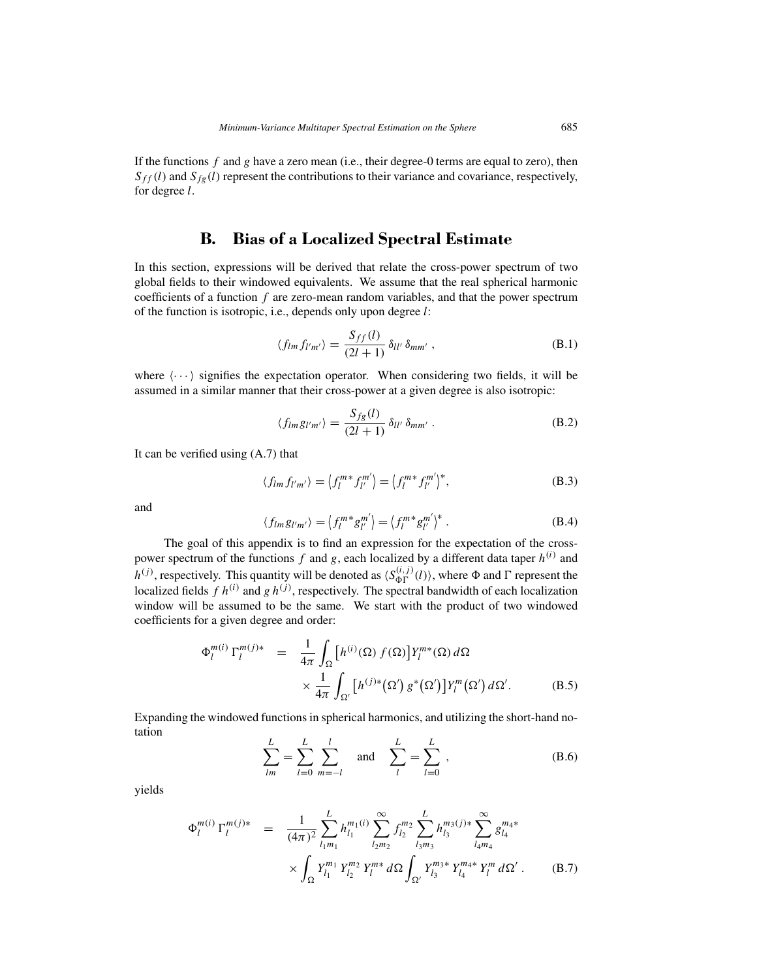If the functions *f* and *g* have a zero mean (i.e., their degree-0 terms are equal to zero), then  $S_{ff}(l)$  and  $S_{fg}(l)$  represent the contributions to their variance and covariance, respectively, for degree *l*.

#### **B. Bias of a Localized Spectral Estimate**

In this section, expressions will be derived that relate the cross-power spectrum of two global fields to their windowed equivalents. We assume that the real spherical harmonic coefficients of a function *f* are zero-mean random variables, and that the power spectrum of the function is isotropic, i.e., depends only upon degree *l*:

$$
\langle f_{lm} f_{l'm'} \rangle = \frac{S_{ff}(l)}{(2l+1)} \, \delta_{ll'} \, \delta_{mm'} \,, \tag{B.1}
$$

where  $\langle \cdots \rangle$  signifies the expectation operator. When considering two fields, it will be assumed in a similar manner that their cross-power at a given degree is also isotropic:

$$
\langle f_{lm}g_{l'm'}\rangle = \frac{S_{fg}(l)}{(2l+1)} \,\delta_{ll'}\,\delta_{mm'}\,. \tag{B.2}
$$

It can be verified using (A.7) that

$$
\langle f_{lm} f_{l'm'} \rangle = \langle f_l^{m*} f_{l'}^{m'} \rangle = \langle f_l^{m*} f_{l'}^{m'} \rangle^*,
$$
 (B.3)

and

$$
\langle f_{lm}g_{l'm'}\rangle = \langle f_l^{m*}g_{l'}^{m'}\rangle = \langle f_l^{m*}g_{l'}^{m'}\rangle^*.
$$
 (B.4)

The goal of this appendix is to find an expression for the expectation of the crosspower spectrum of the functions *f* and *g*, each localized by a different data taper *h(i)* and *h*<sup>(*j*)</sup>, respectively. This quantity will be denoted as  $\langle S_{\Phi\Gamma}^{(i,j)}(l) \rangle$ , where  $\Phi$  and  $\Gamma$  represent the localized fields  $f h^{(i)}$  and  $g h^{(j)}$ , respectively. The spectral bandwidth of each localization window will be assumed to be the same. We start with the product of two windowed coefficients for a given degree and order:

$$
\Phi_l^{m(i)} \Gamma_l^{m(j)*} = \frac{1}{4\pi} \int_{\Omega} \left[ h^{(i)}(\Omega) f(\Omega) \right] Y_l^{m*}(\Omega) d\Omega
$$
  
 
$$
\times \frac{1}{4\pi} \int_{\Omega'} \left[ h^{(j)*}(\Omega') g^*(\Omega') \right] Y_l^m(\Omega') d\Omega'.
$$
 (B.5)

Expanding the windowed functions in spherical harmonics, and utilizing the short-hand notation

$$
\sum_{lm}^{L} = \sum_{l=0}^{L} \sum_{m=-l}^{l} \text{ and } \sum_{l}^{L} = \sum_{l=0}^{L} , \qquad (B.6)
$$

yields

$$
\Phi_{l}^{m(i)} \Gamma_{l}^{m(j)*} = \frac{1}{(4\pi)^{2}} \sum_{l_{1}m_{1}}^{L} h_{l_{1}}^{m_{1}(i)} \sum_{l_{2}m_{2}}^{\infty} f_{l_{2}}^{m_{2}} \sum_{l_{3}m_{3}}^{L} h_{l_{3}}^{m_{3}(j)*} \sum_{l_{4}m_{4}}^{\infty} g_{l_{4}}^{m_{4}*} \times \int_{\Omega} Y_{l_{1}}^{m_{1}} Y_{l_{2}}^{m_{2}} Y_{l}^{m*} d\Omega \int_{\Omega'} Y_{l_{3}}^{m_{3}*} Y_{l_{4}}^{m_{4}*} Y_{l}^{m} d\Omega' . \tag{B.7}
$$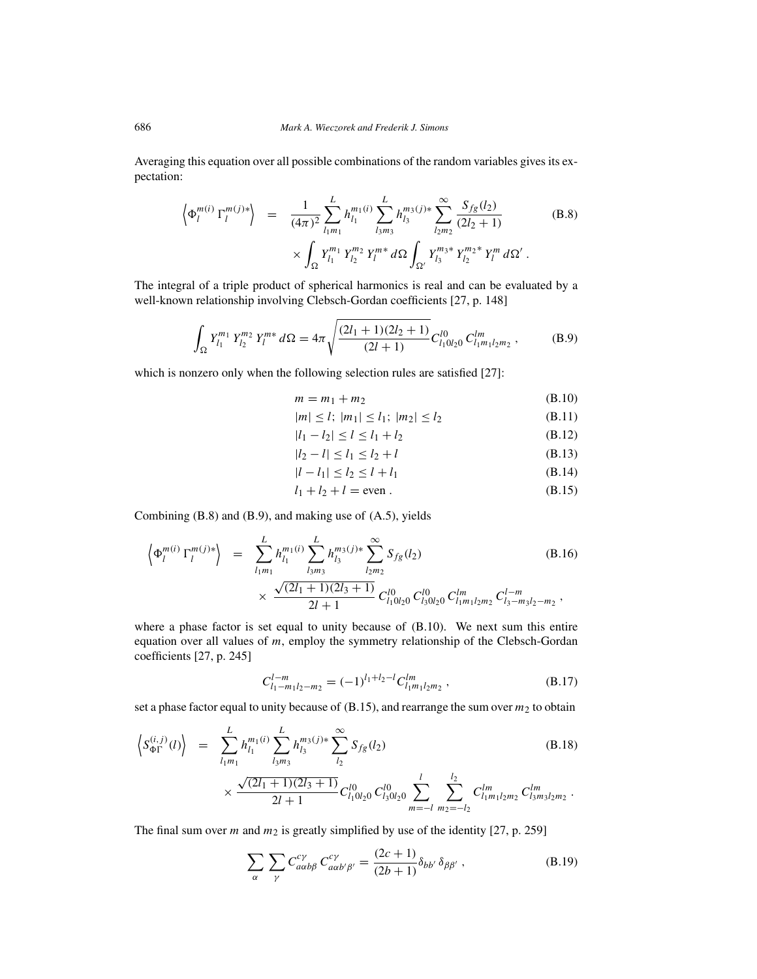Averaging this equation over all possible combinations of the random variables gives its expectation:

$$
\left\langle \Phi_{l}^{m(i)} \Gamma_{l}^{m(j)*} \right\rangle = \frac{1}{(4\pi)^{2}} \sum_{l_{1}m_{1}}^{L} h_{l_{1}}^{m_{1}(i)} \sum_{l_{3}m_{3}}^{L} h_{l_{3}}^{m_{3}(j)*} \sum_{l_{2}m_{2}}^{\infty} \frac{S_{fg}(l_{2})}{(2l_{2}+1)} \times \int_{\Omega} Y_{l_{1}}^{m_{1}} Y_{l_{2}}^{m_{2}} Y_{l}^{m*} d\Omega \int_{\Omega'} Y_{l_{3}}^{m_{3}*} Y_{l_{2}}^{m_{2}*} Y_{l}^{m} d\Omega' .
$$
 (B.8)

The integral of a triple product of spherical harmonics is real and can be evaluated by a well-known relationship involving Clebsch-Gordan coefficients [27, p. 148]

$$
\int_{\Omega} Y_{l_1}^{m_1} Y_{l_2}^{m_2} Y_l^{m*} d\Omega = 4\pi \sqrt{\frac{(2l_1 + 1)(2l_2 + 1)}{(2l_1 + 1)}} C_{l_1 0 l_2 0}^{l_0} C_{l_1 m_1 l_2 m_2}^{l m},
$$
(B.9)

which is nonzero only when the following selection rules are satisfied [27]:

$$
m = m_1 + m_2 \tag{B.10}
$$

$$
|m| \le l; \ |m_1| \le l_1; \ |m_2| \le l_2 \tag{B.11}
$$

$$
|l_1 - l_2| \le l \le l_1 + l_2 \tag{B.12}
$$

$$
|l_2 - l| \le l_1 \le l_2 + l \tag{B.13}
$$

$$
|l - l_1| \le l_2 \le l + l_1 \tag{B.14}
$$

$$
l_1 + l_2 + l = \text{even} \tag{B.15}
$$

Combining (B.8) and (B.9), and making use of (A.5), yields

$$
\left\langle \Phi_{l}^{m(i)} \Gamma_{l}^{m(j)*} \right\rangle = \sum_{l_{1}m_{1}}^{L} h_{l_{1}}^{m_{1}(i)} \sum_{l_{3}m_{3}}^{L} h_{l_{3}}^{m_{3}(j)*} \sum_{l_{2}m_{2}}^{\infty} S_{fg}(l_{2}) \times \frac{\sqrt{(2l_{1}+1)(2l_{3}+1)}}{2l+1} C_{l_{1}0l_{2}0}^{l0} C_{l_{3}0l_{2}0}^{l0} C_{l_{1}m_{1}l_{2}m_{2}}^{l-m} C_{l_{3}-m_{3}l_{2}-m_{2}}^{l-m}, \qquad (B.16)
$$

where a phase factor is set equal to unity because of (B.10). We next sum this entire equation over all values of *m*, employ the symmetry relationship of the Clebsch-Gordan coefficients [27, p. 245]

$$
C_{l_1-m_1l_2-m_2}^{l-m} = (-1)^{l_1+l_2-l} C_{l_1m_1l_2m_2}^{lm}, \qquad (B.17)
$$

set a phase factor equal to unity because of  $(B.15)$ , and rearrange the sum over  $m_2$  to obtain

$$
\left\langle S_{\Phi\Gamma}^{(i,j)}(l) \right\rangle = \sum_{l_1 m_1}^{L} h_{l_1}^{m_1(i)} \sum_{l_3 m_3}^{L} h_{l_3}^{m_3(j)*} \sum_{l_2}^{\infty} S_{fg}(l_2) \times \frac{\sqrt{(2l_1 + 1)(2l_3 + 1)}}{2l + 1} C_{l_1 0 l_2 0}^{l_0} C_{l_3 0 l_2 0}^{l_0} \sum_{m = -l}^{l} \sum_{m_2 = -l_2}^{l_2} C_{l_1 m_1 l_2 m_2}^{l m} C_{l_3 m_3 l_2 m_2}^{l m}.
$$
\n(B.18)

The final sum over  $m$  and  $m_2$  is greatly simplified by use of the identity [27, p. 259]

$$
\sum_{\alpha} \sum_{\gamma} C_{a\alpha b\beta}^{c\gamma} C_{a\alpha b'\beta'}^{c\gamma} = \frac{(2c+1)}{(2b+1)} \delta_{bb'} \delta_{\beta\beta'} , \qquad (B.19)
$$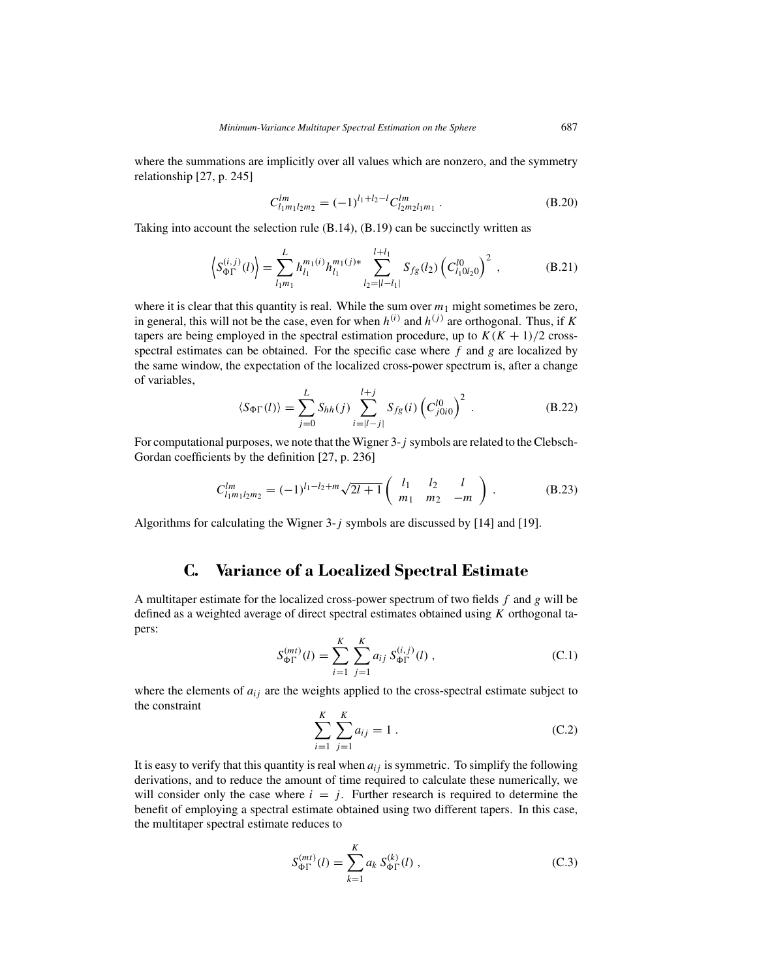where the summations are implicitly over all values which are nonzero, and the symmetry relationship [27, p. 245]

$$
C_{l_1m_1l_2m_2}^{lm} = (-1)^{l_1+l_2-l} C_{l_2m_2l_1m_1}^{lm} . \tag{B.20}
$$

Taking into account the selection rule (B.14), (B.19) can be succinctly written as

$$
\left\langle S_{\Phi\Gamma}^{(i,j)}(l) \right\rangle = \sum_{l_1 m_1}^{L} h_{l_1}^{m_1(i)} h_{l_1}^{m_1(j)*} \sum_{l_2=|l-l_1|}^{l+l_1} S_{fg}(l_2) \left( C_{l_1 0 l_2 0}^{l_0} \right)^2 , \tag{B.21}
$$

where it is clear that this quantity is real. While the sum over  $m_1$  might sometimes be zero, in general, this will not be the case, even for when  $h^{(i)}$  and  $h^{(j)}$  are orthogonal. Thus, if *K* tapers are being employed in the spectral estimation procedure, up to  $K(K + 1)/2$  crossspectral estimates can be obtained. For the specific case where *f* and *g* are localized by the same window, the expectation of the localized cross-power spectrum is, after a change of variables,

$$
\langle S_{\Phi\Gamma}(l)\rangle = \sum_{j=0}^{L} S_{hh}(j) \sum_{i=|l-j|}^{l+j} S_{fg}(i) \left(C_{j0i0}^{l0}\right)^2.
$$
 (B.22)

For computational purposes, we note that the Wigner 3-*j* symbols are related to the Clebsch-Gordan coefficients by the definition [27, p. 236]

$$
C_{l_1m_1l_2m_2}^{lm} = (-1)^{l_1-l_2+m} \sqrt{2l+1} \begin{pmatrix} l_1 & l_2 & l \\ m_1 & m_2 & -m \end{pmatrix} . \tag{B.23}
$$

Algorithms for calculating the Wigner 3-*j* symbols are discussed by [14] and [19].

# **C. Variance of a Localized Spectral Estimate**

A multitaper estimate for the localized cross-power spectrum of two fields *f* and *g* will be defined as a weighted average of direct spectral estimates obtained using *K* orthogonal tapers:

$$
S_{\Phi\Gamma}^{(mt)}(l) = \sum_{i=1}^{K} \sum_{j=1}^{K} a_{ij} S_{\Phi\Gamma}^{(i,j)}(l) ,
$$
 (C.1)

where the elements of  $a_{ij}$  are the weights applied to the cross-spectral estimate subject to the constraint

$$
\sum_{i=1}^{K} \sum_{j=1}^{K} a_{ij} = 1.
$$
 (C.2)

It is easy to verify that this quantity is real when  $a_{ij}$  is symmetric. To simplify the following derivations, and to reduce the amount of time required to calculate these numerically, we will consider only the case where  $i = j$ . Further research is required to determine the benefit of employing a spectral estimate obtained using two different tapers. In this case, the multitaper spectral estimate reduces to

$$
S_{\Phi\Gamma}^{(mt)}(l) = \sum_{k=1}^{K} a_k S_{\Phi\Gamma}^{(k)}(l) ,
$$
 (C.3)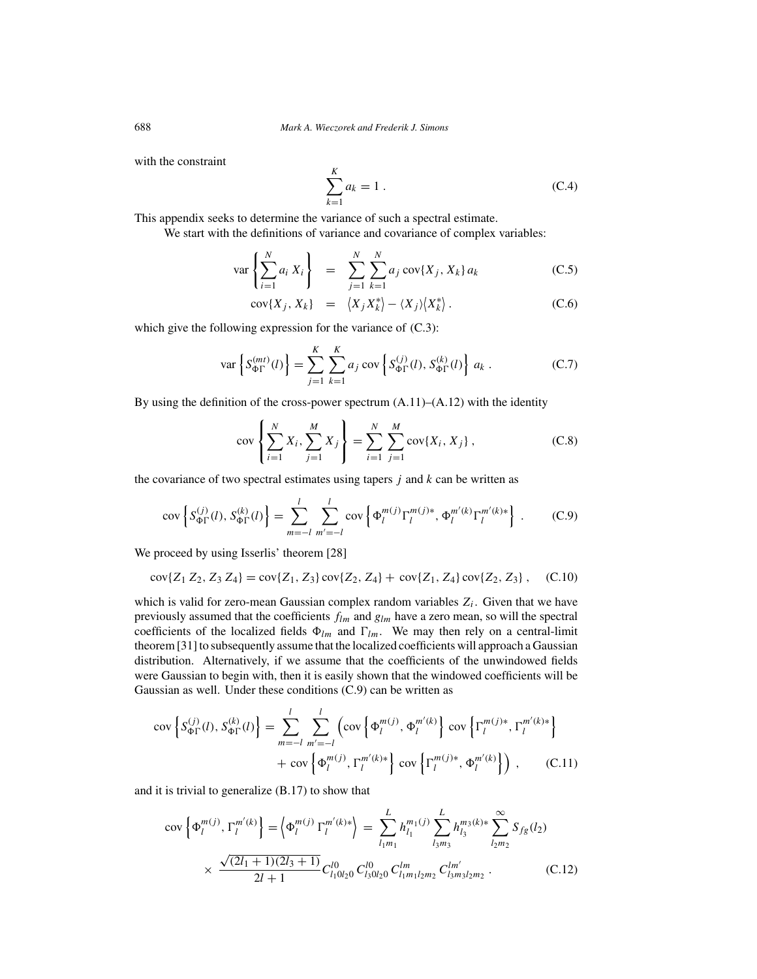with the constraint

$$
\sum_{k=1}^{K} a_k = 1.
$$
 (C.4)

This appendix seeks to determine the variance of such a spectral estimate.

We start with the definitions of variance and covariance of complex variables:

$$
\text{var}\left\{\sum_{i=1}^{N} a_i X_i\right\} = \sum_{j=1}^{N} \sum_{k=1}^{N} a_j \text{cov}\{X_j, X_k\} a_k \tag{C.5}
$$

$$
cov\{X_j, X_k\} = \langle X_j X_k^* \rangle - \langle X_j \rangle \langle X_k^* \rangle. \tag{C.6}
$$

which give the following expression for the variance of  $(C.3)$ :

$$
\text{var}\left\{S_{\Phi\Gamma}^{(mt)}(l)\right\} = \sum_{j=1}^{K} \sum_{k=1}^{K} a_j \text{ cov}\left\{S_{\Phi\Gamma}^{(j)}(l), S_{\Phi\Gamma}^{(k)}(l)\right\} a_k .
$$
 (C.7)

By using the definition of the cross-power spectrum (A.11)–(A.12) with the identity

$$
\text{cov}\left\{\sum_{i=1}^{N} X_i, \sum_{j=1}^{M} X_j\right\} = \sum_{i=1}^{N} \sum_{j=1}^{M} \text{cov}\{X_i, X_j\},\tag{C.8}
$$

the covariance of two spectral estimates using tapers *j* and *k* can be written as

$$
\text{cov}\left\{S_{\Phi\Gamma}^{(j)}(l), S_{\Phi\Gamma}^{(k)}(l)\right\} = \sum_{m=-l}^{l} \sum_{m'=-l}^{l} \text{cov}\left\{\Phi_l^{m(j)} \Gamma_l^{m(j)*}, \Phi_l^{m'(k)} \Gamma_l^{m'(k)*}\right\} \,. \tag{C.9}
$$

We proceed by using Isserlis' theorem [28]

$$
cov{Z_1 Z_2, Z_3 Z_4} = cov{Z_1, Z_3} cov{Z_2, Z_4} + cov{Z_1, Z_4} cov{Z_2, Z_3}, \quad (C.10)
$$

which is valid for zero-mean Gaussian complex random variables  $Z_i$ . Given that we have previously assumed that the coefficients *flm* and *glm* have a zero mean, so will the spectral coefficients of the localized fields  $\Phi_{lm}$  and  $\Gamma_{lm}$ . We may then rely on a central-limit theorem [31] to subsequently assume that the localized coefficients will approach a Gaussian distribution. Alternatively, if we assume that the coefficients of the unwindowed fields were Gaussian to begin with, then it is easily shown that the windowed coefficients will be Gaussian as well. Under these conditions (C.9) can be written as

$$
\text{cov}\left\{S_{\Phi\Gamma}^{(j)}(l), S_{\Phi\Gamma}^{(k)}(l)\right\} = \sum_{m=-l}^{l} \sum_{m'=-l}^{l} \left(\text{cov}\left\{\Phi_l^{m(j)}, \Phi_l^{m'(k)}\right\} \text{cov}\left\{\Gamma_l^{m(j)*}, \Gamma_l^{m'(k)*}\right\} + \text{cov}\left\{\Phi_l^{m(j)}, \Gamma_l^{m'(k)*}\right\} \text{cov}\left\{\Gamma_l^{m(j)*}, \Phi_l^{m'(k)}\right\}\right), \quad (C.11)
$$

and it is trivial to generalize (B.17) to show that

$$
\text{cov}\left\{\Phi_{l}^{m(j)},\Gamma_{l}^{m'(k)}\right\} = \left\{\Phi_{l}^{m(j)}\Gamma_{l}^{m'(k)*}\right\} = \sum_{l_{1}m_{1}}^{L} h_{l_{1}}^{m_{1}(j)} \sum_{l_{3}m_{3}}^{L} h_{l_{3}}^{m_{3}(k)*} \sum_{l_{2}m_{2}}^{\infty} S_{fg}(l_{2})
$$
\n
$$
\times \frac{\sqrt{(2l_{1}+1)(2l_{3}+1)}}{2l+1} C_{l_{1}l_{2}l_{2}0}^{l_{0}} C_{l_{3}l_{2}l_{2}}^{l_{0}} C_{l_{1}m_{1}l_{2}m_{2}}^{l_{m}} C_{l_{3}m_{3}l_{2}m_{2}}^{l_{m'}}.
$$
\n(C.12)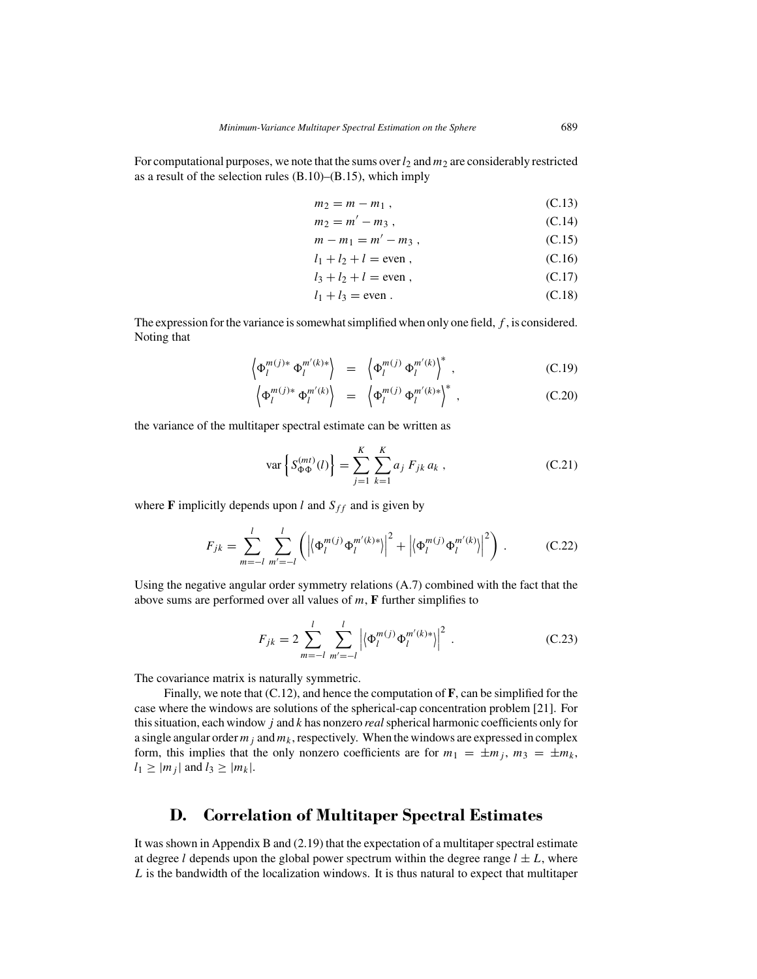For computational purposes, we note that the sums over  $l_2$  and  $m_2$  are considerably restricted as a result of the selection rules (B.10)–(B.15), which imply

$$
m_2 = m - m_1 , \t\t (C.13)
$$

$$
m_2 = m' - m_3,
$$
 (C.14)  
\n
$$
m - m_1 = m' - m_3.
$$
 (C.15)

$$
l_1 + l_2 + l = \text{even},
$$
 (C.16)

$$
l_3 + l_2 + l = \text{even} \tag{C.17}
$$

$$
l_1 + l_3 = \text{even} \tag{C.18}
$$

$$
\begin{array}{ccc}\n\cdot & & & \\
\cdot & & & \\
\cdot & & & \\
\end{array}
$$

The expression for the variance is somewhat simplified when only one field, *f* , is considered. Noting that

$$
\left\langle \Phi_l^{m(j)*} \Phi_l^{m'(k)*} \right\rangle = \left\langle \Phi_l^{m(j)} \Phi_l^{m'(k)} \right\rangle^*, \tag{C.19}
$$

$$
\left\langle \Phi_l^{m(j)*} \Phi_l^{m'(k)} \right\rangle = \left\langle \Phi_l^{m(j)} \Phi_l^{m'(k)*} \right\rangle^*, \qquad (C.20)
$$

the variance of the multitaper spectral estimate can be written as

$$
\text{var}\left\{S_{\Phi\Phi}^{(mt)}(l)\right\} = \sum_{j=1}^{K} \sum_{k=1}^{K} a_j \, F_{jk} \, a_k \,,\tag{C.21}
$$

where **F** implicitly depends upon *l* and  $S_{ff}$  and is given by

$$
F_{jk} = \sum_{m=-l}^{l} \sum_{m'=-l}^{l} \left( \left| \left\langle \Phi_l^{m(j)} \Phi_l^{m'(k)*} \right\rangle \right|^2 + \left| \left\langle \Phi_l^{m(j)} \Phi_l^{m'(k)} \right\rangle \right|^2 \right) . \tag{C.22}
$$

Using the negative angular order symmetry relations (A.7) combined with the fact that the above sums are performed over all values of *m*, **F** further simplifies to

$$
F_{jk} = 2 \sum_{m=-l}^{l} \sum_{m'=-l}^{l} \left| \left\langle \Phi_l^{m(j)} \Phi_l^{m'(k)*} \right\rangle \right|^2.
$$
 (C.23)

The covariance matrix is naturally symmetric.

Finally, we note that (C.12), and hence the computation of **F**, can be simplified for the case where the windows are solutions of the spherical-cap concentration problem [21]. For this situation, each window *j* and *k* has nonzero *real*spherical harmonic coefficients only for a single angular order  $m_j$  and  $m_k$ , respectively. When the windows are expressed in complex form, this implies that the only nonzero coefficients are for  $m_1 = \pm m_j$ ,  $m_3 = \pm m_k$ ,  $l_1 \ge |m_j|$  and  $l_3 \ge |m_k|$ .

# **D. Correlation of Multitaper Spectral Estimates**

It was shown in Appendix B and (2.19) that the expectation of a multitaper spectral estimate at degree *l* depends upon the global power spectrum within the degree range  $l \pm L$ , where *L* is the bandwidth of the localization windows. It is thus natural to expect that multitaper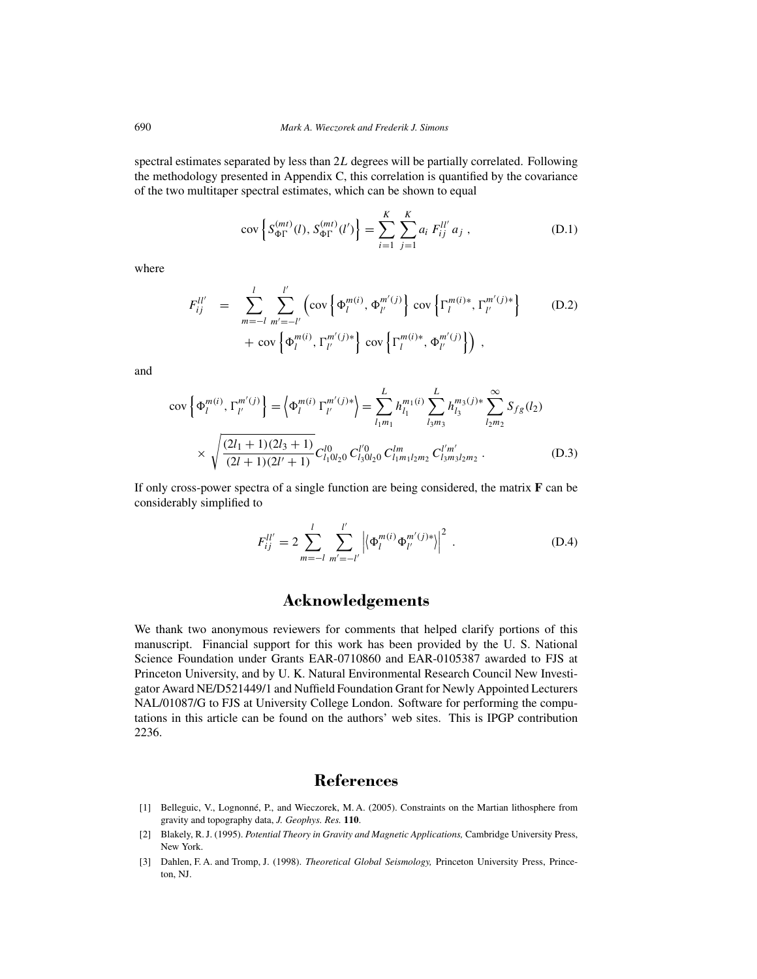spectral estimates separated by less than 2*L* degrees will be partially correlated. Following the methodology presented in Appendix C, this correlation is quantified by the covariance of the two multitaper spectral estimates, which can be shown to equal

$$
cov\left\{S_{\Phi\Gamma}^{(mt)}(l), S_{\Phi\Gamma}^{(mt)}(l')\right\} = \sum_{i=1}^{K} \sum_{j=1}^{K} a_i F_{ij}^{ll'} a_j , \qquad (D.1)
$$

where

$$
F_{ij}^{ll'} = \sum_{m=-l}^{l} \sum_{m'=-l'}^{l'} \left( \text{cov} \left\{ \Phi_l^{m(i)}, \Phi_{l'}^{m'(j)} \right\} \text{cov} \left\{ \Gamma_l^{m(i)*}, \Gamma_{l'}^{m'(j)*} \right\} + \text{cov} \left\{ \Phi_l^{m(i)}, \Gamma_{l'}^{m'(j)*} \right\} \text{cov} \left\{ \Gamma_l^{m(i)*}, \Phi_{l'}^{m'(j)} \right\} \right), \tag{D.2}
$$

and

$$
\text{cov}\left\{\Phi_{l}^{m(i)},\Gamma_{l'}^{m'(j)}\right\} = \left\{\Phi_{l}^{m(i)}\Gamma_{l'}^{m'(j)*}\right\} = \sum_{l_{1}m_{1}}^{L} h_{l_{1}}^{m_{1}(i)} \sum_{l_{3}m_{3}}^{L} h_{l_{3}}^{m_{3}(j)*} \sum_{l_{2}m_{2}}^{\infty} S_{fg}(l_{2})
$$

$$
\times \sqrt{\frac{(2l_{1}+1)(2l_{3}+1)}{(2l+1)(2l'+1)}} C_{l_{1}l_{2}l_{2}}^{l0} C_{l_{3}l_{2}l_{2}}^{l'm} C_{l_{3}m_{3}}^{l'm'} C_{l_{3}m_{3}l_{2}m_{2}}^{l'm'}.
$$
(D.3)

If only cross-power spectra of a single function are being considered, the matrix **F** can be considerably simplified to

$$
F_{ij}^{ll'} = 2 \sum_{m=-l}^{l} \sum_{m'=-l'}^{l'} \left| \left\langle \Phi_l^{m(i)} \Phi_{l'}^{m'(j)*} \right\rangle \right|^2.
$$
 (D.4)

# **Acknowledgements**

We thank two anonymous reviewers for comments that helped clarify portions of this manuscript. Financial support for this work has been provided by the U. S. National Science Foundation under Grants EAR-0710860 and EAR-0105387 awarded to FJS at Princeton University, and by U. K. Natural Environmental Research Council New Investigator Award NE/D521449/1 and Nuffield Foundation Grant for Newly Appointed Lecturers NAL/01087/G to FJS at University College London. Software for performing the computations in this article can be found on the authors' web sites. This is IPGP contribution 2236.

### **References**

- [1] Belleguic, V., Lognonné, P., and Wieczorek, M. A. (2005). Constraints on the Martian lithosphere from gravity and topography data, *J. Geophys. Res.* **110**.
- [2] Blakely, R. J. (1995). *Potential Theory in Gravity and Magnetic Applications,* Cambridge University Press, New York.
- [3] Dahlen, F. A. and Tromp, J. (1998). *Theoretical Global Seismology,* Princeton University Press, Princeton, NJ.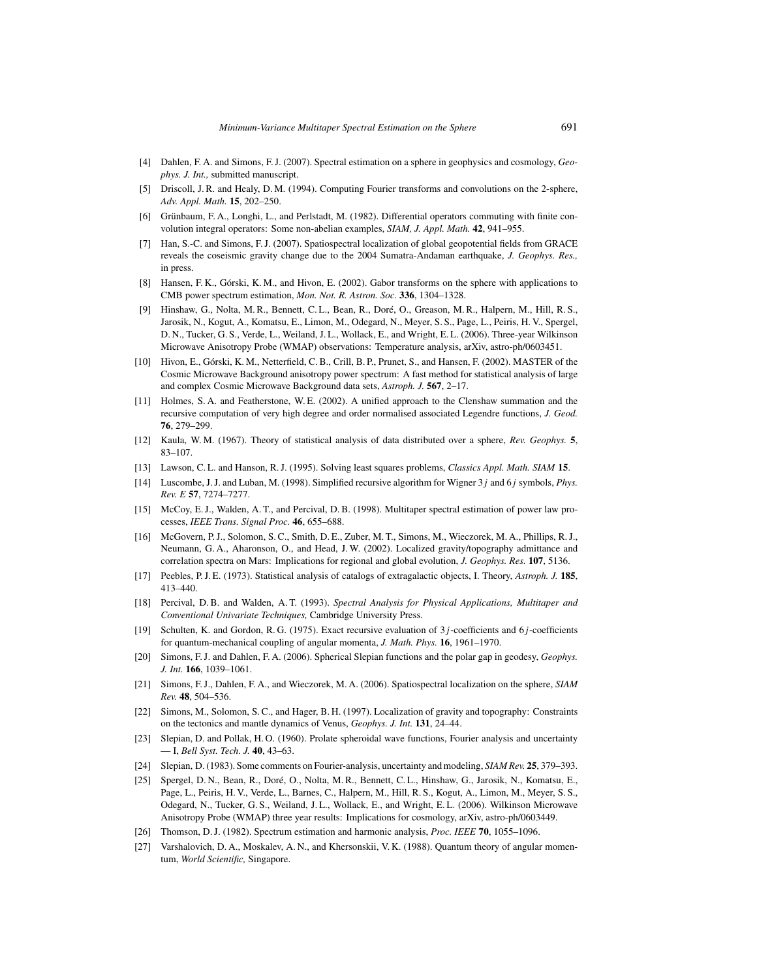- [4] Dahlen, F. A. and Simons, F. J. (2007). Spectral estimation on a sphere in geophysics and cosmology, *Geophys. J. Int.,* submitted manuscript.
- [5] Driscoll, J. R. and Healy, D. M. (1994). Computing Fourier transforms and convolutions on the 2-sphere, *Adv. Appl. Math.* **15**, 202–250.
- [6] Grünbaum, F. A., Longhi, L., and Perlstadt, M. (1982). Differential operators commuting with finite convolution integral operators: Some non-abelian examples, *SIAM, J. Appl. Math.* **42**, 941–955.
- [7] Han, S.-C. and Simons, F. J. (2007). Spatiospectral localization of global geopotential fields from GRACE reveals the coseismic gravity change due to the 2004 Sumatra-Andaman earthquake, *J. Geophys. Res.,* in press.
- [8] Hansen, F. K., Górski, K. M., and Hivon, E. (2002). Gabor transforms on the sphere with applications to CMB power spectrum estimation, *Mon. Not. R. Astron. Soc.* **336**, 1304–1328.
- [9] Hinshaw, G., Nolta, M. R., Bennett, C. L., Bean, R., Doré, O., Greason, M. R., Halpern, M., Hill, R. S., Jarosik, N., Kogut, A., Komatsu, E., Limon, M., Odegard, N., Meyer, S. S., Page, L., Peiris, H. V., Spergel, D. N., Tucker, G. S., Verde, L., Weiland, J. L., Wollack, E., and Wright, E. L. (2006). Three-year Wilkinson Microwave Anisotropy Probe (WMAP) observations: Temperature analysis, arXiv, astro-ph/0603451.
- [10] Hivon, E., Górski, K. M., Netterfield, C. B., Crill, B. P., Prunet, S., and Hansen, F. (2002). MASTER of the Cosmic Microwave Background anisotropy power spectrum: A fast method for statistical analysis of large and complex Cosmic Microwave Background data sets, *Astroph. J.* **567**, 2–17.
- [11] Holmes, S. A. and Featherstone, W. E. (2002). A unified approach to the Clenshaw summation and the recursive computation of very high degree and order normalised associated Legendre functions, *J. Geod.* **76**, 279–299.
- [12] Kaula, W. M. (1967). Theory of statistical analysis of data distributed over a sphere, *Rev. Geophys.* **5**, 83–107.
- [13] Lawson, C. L. and Hanson, R. J. (1995). Solving least squares problems, *Classics Appl. Math. SIAM* **15**.
- [14] Luscombe, J. J. and Luban, M. (1998). Simplified recursive algorithm for Wigner 3*j* and 6*j* symbols, *Phys. Rev. E* **57**, 7274–7277.
- [15] McCoy, E. J., Walden, A. T., and Percival, D. B. (1998). Multitaper spectral estimation of power law processes, *IEEE Trans. Signal Proc.* **46**, 655–688.
- [16] McGovern, P. J., Solomon, S. C., Smith, D. E., Zuber, M. T., Simons, M., Wieczorek, M. A., Phillips, R. J., Neumann, G. A., Aharonson, O., and Head, J. W. (2002). Localized gravity/topography admittance and correlation spectra on Mars: Implications for regional and global evolution, *J. Geophys. Res.* **107**, 5136.
- [17] Peebles, P. J. E. (1973). Statistical analysis of catalogs of extragalactic objects, I. Theory, *Astroph. J.* **185**, 413–440.
- [18] Percival, D. B. and Walden, A. T. (1993). *Spectral Analysis for Physical Applications, Multitaper and Conventional Univariate Techniques,* Cambridge University Press.
- [19] Schulten, K. and Gordon, R. G. (1975). Exact recursive evaluation of 3*j* -coefficients and 6*j* -coefficients for quantum-mechanical coupling of angular momenta, *J. Math. Phys.* **16**, 1961–1970.
- [20] Simons, F. J. and Dahlen, F. A. (2006). Spherical Slepian functions and the polar gap in geodesy, *Geophys. J. Int.* **166**, 1039–1061.
- [21] Simons, F. J., Dahlen, F. A., and Wieczorek, M. A. (2006). Spatiospectral localization on the sphere, *SIAM Rev.* **48**, 504–536.
- [22] Simons, M., Solomon, S. C., and Hager, B. H. (1997). Localization of gravity and topography: Constraints on the tectonics and mantle dynamics of Venus, *Geophys. J. Int.* **131**, 24–44.
- [23] Slepian, D. and Pollak, H. O. (1960). Prolate spheroidal wave functions, Fourier analysis and uncertainty — I, *Bell Syst. Tech. J.* **40**, 43–63.
- [24] Slepian, D. (1983). Some comments on Fourier-analysis, uncertainty and modeling, *SIAM Rev.* **25**, 379–393.
- [25] Spergel, D. N., Bean, R., Doré, O., Nolta, M. R., Bennett, C. L., Hinshaw, G., Jarosik, N., Komatsu, E., Page, L., Peiris, H. V., Verde, L., Barnes, C., Halpern, M., Hill, R. S., Kogut, A., Limon, M., Meyer, S. S., Odegard, N., Tucker, G. S., Weiland, J. L., Wollack, E., and Wright, E. L. (2006). Wilkinson Microwave Anisotropy Probe (WMAP) three year results: Implications for cosmology, arXiv, astro-ph/0603449.
- [26] Thomson, D. J. (1982). Spectrum estimation and harmonic analysis, *Proc. IEEE* **70**, 1055–1096.
- [27] Varshalovich, D. A., Moskalev, A. N., and Khersonskii, V. K. (1988). Quantum theory of angular momentum, *World Scientific,* Singapore.